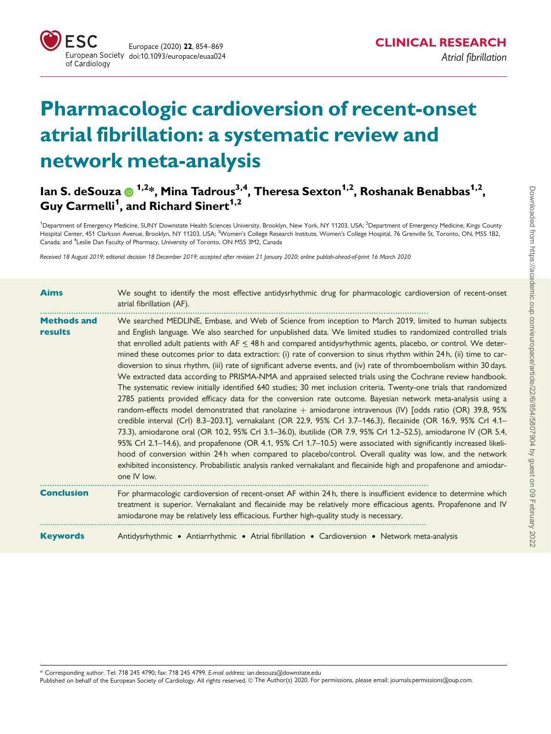

# Pharmacologic cardioversion of recent-onset atrial fibrillation: a systematic review and network meta-analysis

# lan S. deSouza (D <sup>1,2</sup>\*, Mina Tadrous<sup>3,4</sup>, Theresa Sexton<sup>1,2</sup>, Roshanak Benabbas<sup>1,2</sup>, Guy Carmelli<sup>1</sup>, and Richard Sinert<sup>1,2</sup>

<sup>1</sup>Department of Emergency Medicine, SUNY Downstate Health Sciences University, Brooklyn, New York, NY 11203, USA; <sup>2</sup>Department of Emergency Medicine, Kings County Hospital Center, 451 Clarkson Avenue, Brooklyn, NY 11203, USA; <sup>3</sup>Women's College Research Institute, Women's College Hospital, 76 Grenville St, Toronto, ON, M5S 1B2. Canada; and <sup>4</sup>Leslie Dan Faculty of Pharmacy, University of Toronto, ON M5S 3M2, Canada

Received 18 August 2019; editorial decision 18 December 2019; accepted after revision 21 January 2020; online publish-ahead-of-print 16 March 2020

| <b>Aims</b>                   | We sought to identify the most effective antidysrhythmic drug for pharmacologic cardioversion of recent-onset<br>atrial fibrillation (AF).                                                                                                                                                                                                                                                                                                                                                                                                                                                                                                                                                                                                                                                                                                                                                                                                                                                                                                                                                                                                                                                                                                                                                                                                                                                                                                                                                                                                                                                                                                                                                |
|-------------------------------|-------------------------------------------------------------------------------------------------------------------------------------------------------------------------------------------------------------------------------------------------------------------------------------------------------------------------------------------------------------------------------------------------------------------------------------------------------------------------------------------------------------------------------------------------------------------------------------------------------------------------------------------------------------------------------------------------------------------------------------------------------------------------------------------------------------------------------------------------------------------------------------------------------------------------------------------------------------------------------------------------------------------------------------------------------------------------------------------------------------------------------------------------------------------------------------------------------------------------------------------------------------------------------------------------------------------------------------------------------------------------------------------------------------------------------------------------------------------------------------------------------------------------------------------------------------------------------------------------------------------------------------------------------------------------------------------|
| <b>Methods and</b><br>results | We searched MEDLINE, Embase, and Web of Science from inception to March 2019, limited to human subjects<br>and English language. We also searched for unpublished data. We limited studies to randomized controlled trials<br>that enrolled adult patients with $AF \leq 48$ h and compared antidysrhythmic agents, placebo, or control. We deter-<br>mined these outcomes prior to data extraction: (i) rate of conversion to sinus rhythm within 24h, (ii) time to car-<br>dioversion to sinus rhythm, (iii) rate of significant adverse events, and (iv) rate of thromboembolism within 30 days.<br>We extracted data according to PRISMA-NMA and appraised selected trials using the Cochrane review handbook.<br>The systematic review initially identified 640 studies; 30 met inclusion criteria. Twenty-one trials that randomized<br>2785 patients provided efficacy data for the conversion rate outcome. Bayesian network meta-analysis using a<br>random-effects model demonstrated that ranolazine $+$ amiodarone intravenous (IV) [odds ratio (OR) 39.8, 95%<br>credible interval (Crl) 8.3-203.1], vernakalant (OR 22.9, 95% Crl 3.7-146.3), flecainide (OR 16.9, 95% Crl 4.1-<br>73.3), amiodarone oral (OR 10.2, 95% Crl 3.1-36.0), ibutilide (OR 7.9, 95% Crl 1.2-52.5), amiodarone IV (OR 5.4,<br>95% Crl 2.1–14.6), and propafenone (OR 4.1, 95% Crl 1.7–10.5) were associated with significantly increased likeli-<br>hood of conversion within 24h when compared to placebo/control. Overall quality was low, and the network<br>exhibited inconsistency. Probabilistic analysis ranked vernakalant and flecainide high and propafenone and amiodar-<br>one IV low. |
| <b>Conclusion</b>             | For pharmacologic cardioversion of recent-onset AF within 24h, there is insufficient evidence to determine which<br>treatment is superior. Vernakalant and flecainide may be relatively more efficacious agents. Propafenone and IV<br>amiodarone may be relatively less efficacious. Further high-quality study is necessary.                                                                                                                                                                                                                                                                                                                                                                                                                                                                                                                                                                                                                                                                                                                                                                                                                                                                                                                                                                                                                                                                                                                                                                                                                                                                                                                                                            |
| <b>Keywords</b>               | Antidysrhythmic • Antiarrhythmic • Atrial fibrillation • Cardioversion • Network meta-analysis                                                                                                                                                                                                                                                                                                                                                                                                                                                                                                                                                                                                                                                                                                                                                                                                                                                                                                                                                                                                                                                                                                                                                                                                                                                                                                                                                                                                                                                                                                                                                                                            |

\* Corresponding author. Tel: 718 245 4790; fax: 718 245 4799. E-mail address: ian.desouza@downstate.edu Published on behalf of the European Society of Cardiology. All rights reserved. © The Author(s) 2020. For permissions, please email: journals.permissions@oup.com.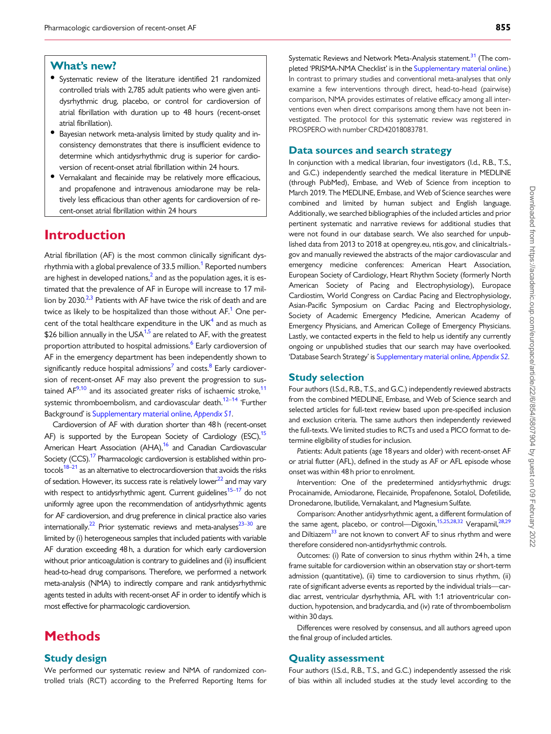# Downloaded from https://academic.oup.com/europace/article/22/6/854/5807904 by guest on 09 February 2022 Downloaded from https://academic.oup.com/europace/article/22/6/854/5807904 by guest on 09 February 2022

### <span id="page-1-0"></span>What's new?

- Systematic review of the literature identified 21 randomized controlled trials with 2,785 adult patients who were given antidysrhythmic drug, placebo, or control for cardioversion of atrial fibrillation with duration up to 48 hours (recent-onset atrial fibrillation).
- Bayesian network meta-analysis limited by study quality and inconsistency demonstrates that there is insufficient evidence to determine which antidysrhythmic drug is superior for cardioversion of recent-onset atrial fibrillation within 24 hours.
- Vernakalant and flecainide may be relatively more efficacious, and propafenone and intravenous amiodarone may be relatively less efficacious than other agents for cardioversion of recent-onset atrial fibrillation within 24 hours

# Introduction

Atrial fibrillation (AF) is the most common clinically significant dys-rhythmia with a global prevalence of 33.5 million.<sup>[1](#page-13-0)</sup> Reported numbers are highest in developed nations,<sup>2</sup> and as the population ages, it is estimated that the prevalence of AF in Europe will increase to 17 million by 2030. $23$  Patients with AF have twice the risk of death and are twice as likely to be hospitalized than those without  $AF<sup>1</sup>$  One percent of the total healthcare expenditure in the  $UK<sup>4</sup>$  $UK<sup>4</sup>$  $UK<sup>4</sup>$  and as much as \$26 billion annually in the USA $1,5$  are related to AF, with the greatest proportion attributed to hospital admissions.<sup>[6](#page-13-0)</sup> Early cardioversion of AF in the emergency department has been independently shown to significantly reduce hospital admissions<sup>[7](#page-13-0)</sup> and costs.<sup>8</sup> Early cardioversion of recent-onset AF may also prevent the progression to sustained  $AF^{9,10}$  and its associated greater risks of ischaemic stroke,<sup>11</sup> systemic thromboembolism, and cardiovascular death.<sup>[12–14](#page-13-0)</sup> 'Further Background' is [Supplementary material online,](https://academic.oup.com/europace/article-lookup/doi/10.1093/europace/euaa024#supplementary-data) Appendix S1.

Cardioversion of AF with duration shorter than 48 h (recent-onset AF) is supported by the European Society of Cardiology (ESC),  $15$ American Heart Association (AHA),<sup>16</sup> and Canadian Cardiovascular Society (CCS).<sup>17</sup> Pharmacologic cardioversion is established within protocols $18-21$  as an alternative to electrocardioversion that avoids the risks of sedation. However, its success rate is relatively lower $^{22}$  and may vary with respect to antidysrhythmic agent. Current guidelines<sup>15–17</sup> do not uniformly agree upon the recommendation of antidysrhythmic agents for AF cardioversion, and drug preference in clinical practice also varies internationally.<sup>22</sup> Prior systematic reviews and meta-analyses<sup>23–30</sup> are limited by (i) heterogeneous samples that included patients with variable AF duration exceeding 48 h, a duration for which early cardioversion without prior anticoagulation is contrary to guidelines and (ii) insufficient head-to-head drug comparisons. Therefore, we performed a network meta-analysis (NMA) to indirectly compare and rank antidysrhythmic agents tested in adults with recent-onset AF in order to identify which is most effective for pharmacologic cardioversion.

# **Methods**

### Study design

We performed our systematic review and NMA of randomized controlled trials (RCT) according to the Preferred Reporting Items for Systematic Reviews and Network Meta-Analysis statement.<sup>[31](#page-14-0)</sup> (The completed 'PRISMA-NMA Checklist' is in the [Supplementary material online](https://academic.oup.com/europace/article-lookup/doi/10.1093/europace/euaa024#supplementary-data).) In contrast to primary studies and conventional meta-analyses that only examine a few interventions through direct, head-to-head (pairwise) comparison, NMA provides estimates of relative efficacy among all interventions even when direct comparisons among them have not been investigated. The protocol for this systematic review was registered in PROSPERO with number CRD42018083781.

### Data sources and search strategy

In conjunction with a medical librarian, four investigators (I.d., R.B., T.S., and G.C.) independently searched the medical literature in MEDLINE (through PubMed), Embase, and Web of Science from inception to March 2019. The MEDLINE, Embase, and Web of Science searches were combined and limited by human subject and English language. Additionally, we searched bibliographies of the included articles and prior pertinent systematic and narrative reviews for additional studies that were not found in our database search. We also searched for unpublished data from 2013 to 2018 at opengrey.eu, ntis.gov, and clinicaltrials. gov and manually reviewed the abstracts of the major cardiovascular and emergency medicine conferences: American Heart Association, European Society of Cardiology, Heart Rhythm Society (formerly North American Society of Pacing and Electrophysiology), Europace Cardiostim, World Congress on Cardiac Pacing and Electrophysiology, Asian-Pacific Symposium on Cardiac Pacing and Electrophysiology, Society of Academic Emergency Medicine, American Academy of Emergency Physicians, and American College of Emergency Physicians. Lastly, we contacted experts in the field to help us identify any currently ongoing or unpublished studies that our search may have overlooked. 'Database Search Strategy' is [Supplementary material online,](https://academic.oup.com/europace/article-lookup/doi/10.1093/europace/euaa024#supplementary-data) Appendix S2.

### Study selection

Four authors (I.S.d., R.B., T.S., and G.C.) independently reviewed abstracts from the combined MEDLINE, Embase, and Web of Science search and selected articles for full-text review based upon pre-specified inclusion and exclusion criteria. The same authors then independently reviewed the full-texts. We limited studies to RCTs and used a PICO format to determine eligibility of studies for inclusion.

Patients: Adult patients (age 18 years and older) with recent-onset AF or atrial flutter (AFL), defined in the study as AF or AFL episode whose onset was within 48 h prior to enrolment.

Intervention: One of the predetermined antidysrhythmic drugs: Procainamide, Amiodarone, Flecainide, Propafenone, Sotalol, Dofetilide, Dronedarone, Ibutilide, Vernakalant, and Magnesium Sulfate.

Comparison: Another antidysrhythmic agent, a different formulation of the same agent, placebo, or control—Digoxin,<sup>15,25,28,32</sup> Verapamil,<sup>[28,29](#page-14-0)</sup> and Diltiazem<sup>[33](#page-14-0)</sup> are not known to convert AF to sinus rhythm and were therefore considered non-antidysrhythmic controls.

Outcomes: (i) Rate of conversion to sinus rhythm within 24 h, a time frame suitable for cardioversion within an observation stay or short-term admission (quantitative), (ii) time to cardioversion to sinus rhythm, (ii) rate of significant adverse events as reported by the individual trials—cardiac arrest, ventricular dysrhythmia, AFL with 1:1 atrioventricular conduction, hypotension, and bradycardia, and (iv) rate of thromboembolism within 30 days.

Differences were resolved by consensus, and all authors agreed upon the final group of included articles.

### Quality assessment

Four authors (I.S.d., R.B., T.S., and G.C.) independently assessed the risk of bias within all included studies at the study level according to the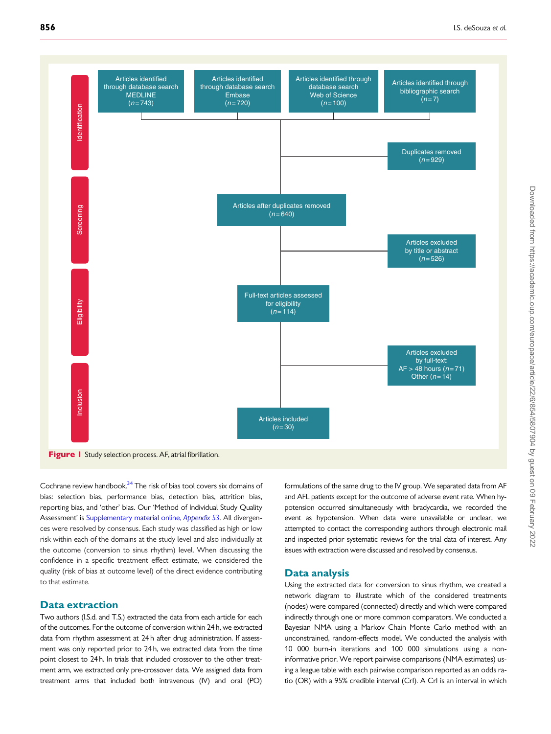<span id="page-2-0"></span>

Cochrane review handbook.<sup>34</sup> The risk of bias tool covers six domains of bias: selection bias, performance bias, detection bias, attrition bias, reporting bias, and 'other' bias. Our 'Method of Individual Study Quality Assessment' is [Supplementary material online,](https://academic.oup.com/europace/article-lookup/doi/10.1093/europace/euaa024#supplementary-data) Appendix S3. All divergences were resolved by consensus. Each study was classified as high or low risk within each of the domains at the study level and also individually at the outcome (conversion to sinus rhythm) level. When discussing the confidence in a specific treatment effect estimate, we considered the quality (risk of bias at outcome level) of the direct evidence contributing

### Data extraction

to that estimate.

Two authors (I.S.d. and T.S.) extracted the data from each article for each of the outcomes. For the outcome of conversion within 24 h, we extracted data from rhythm assessment at 24 h after drug administration. If assessment was only reported prior to 24 h, we extracted data from the time point closest to 24 h. In trials that included crossover to the other treatment arm, we extracted only pre-crossover data. We assigned data from treatment arms that included both intravenous (IV) and oral (PO)

formulations of the same drug to the IV group. We separated data from AF and AFL patients except for the outcome of adverse event rate. When hypotension occurred simultaneously with bradycardia, we recorded the event as hypotension. When data were unavailable or unclear, we attempted to contact the corresponding authors through electronic mail and inspected prior systematic reviews for the trial data of interest. Any issues with extraction were discussed and resolved by consensus.

### Data analysis

Using the extracted data for conversion to sinus rhythm, we created a network diagram to illustrate which of the considered treatments (nodes) were compared (connected) directly and which were compared indirectly through one or more common comparators. We conducted a Bayesian NMA using a Markov Chain Monte Carlo method with an unconstrained, random-effects model. We conducted the analysis with 10 000 burn-in iterations and 100 000 simulations using a noninformative prior. We report pairwise comparisons (NMA estimates) using a league table with each pairwise comparison reported as an odds ratio (OR) with a 95% credible interval (CrI). A CrI is an interval in which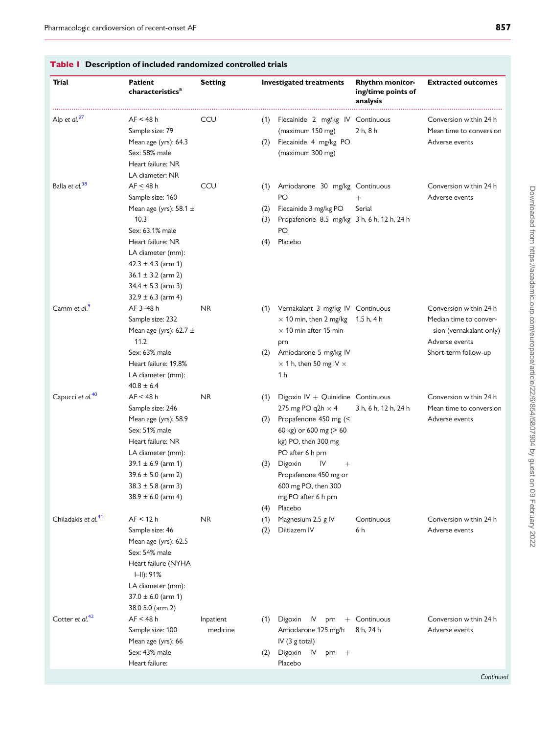| Trial                           | <b>Patient</b><br>characteristics <sup>a</sup>                                                                                                                                                                                                                   | <b>Setting</b>        |                          | <b>Investigated treatments</b>                                                                                                                                                                                                                                             | <b>Rhythm monitor-</b><br>ing/time points of<br>analysis | <b>Extracted outcomes</b>                                                                                             |
|---------------------------------|------------------------------------------------------------------------------------------------------------------------------------------------------------------------------------------------------------------------------------------------------------------|-----------------------|--------------------------|----------------------------------------------------------------------------------------------------------------------------------------------------------------------------------------------------------------------------------------------------------------------------|----------------------------------------------------------|-----------------------------------------------------------------------------------------------------------------------|
| Alp et al. <sup>37</sup>        | AF < 48 h<br>Sample size: 79<br>Mean age (yrs): 64.3<br>Sex: 58% male<br>Heart failure: NR                                                                                                                                                                       | CCU                   | (1)<br>(2)               | Flecainide 2 mg/kg IV Continuous<br>(maximum 150 mg)<br>Flecainide 4 mg/kg PO<br>(maximum 300 mg)                                                                                                                                                                          | 2 h, 8 h                                                 | Conversion within 24 h<br>Mean time to conversion<br>Adverse events                                                   |
| Balla et al. <sup>38</sup>      | LA diameter: NR<br>$AF \leq 48 h$<br>Sample size: 160<br>Mean age (yrs): $58.1 \pm$<br>10.3<br>Sex: 63.1% male<br>Heart failure: NR<br>LA diameter (mm):<br>$42.3 \pm 4.3$ (arm 1)<br>$36.1 \pm 3.2$ (arm 2)<br>$34.4 \pm 5.3$ (arm 3)<br>$32.9 \pm 6.3$ (arm 4) | CCU                   | (1)<br>(2)<br>(3)<br>(4) | Amiodarone 30 mg/kg Continuous<br>PO<br>Flecainide 3 mg/kg PO<br>Propafenone 8.5 mg/kg 3 h, 6 h, 12 h, 24 h<br>PO<br>Placebo                                                                                                                                               | $^+$<br>Serial                                           | Conversion within 24 h<br>Adverse events                                                                              |
| Camm et al. <sup>9</sup>        | AF 3-48 h<br>Sample size: 232<br>Mean age (yrs): $62.7 \pm$<br>11.2<br>Sex: 63% male<br>Heart failure: 19.8%<br>LA diameter (mm):<br>$40.8 \pm 6.4$                                                                                                              | <b>NR</b>             | (2)                      | (1) Vernakalant 3 mg/kg IV Continuous<br>$\times$ 10 min, then 2 mg/kg<br>$\times$ 10 min after 15 min<br>prn<br>Amiodarone 5 mg/kg IV<br>$\times$ 1 h, then 50 mg IV $\times$<br>1 h                                                                                      | 1.5 h, 4 h                                               | Conversion within 24 h<br>Median time to conver-<br>sion (vernakalant only)<br>Adverse events<br>Short-term follow-up |
| Capucci et al. <sup>40</sup>    | AF < 48 h<br>Sample size: 246<br>Mean age (yrs): 58.9<br>Sex: 51% male<br>Heart failure: NR<br>LA diameter (mm):<br>$39.1 \pm 6.9$ (arm 1)<br>$39.6 \pm 5.0$ (arm 2)<br>$38.3 \pm 5.8$ (arm 3)<br>$38.9 \pm 6.0$ (arm 4)                                         | <b>NR</b>             | (1)<br>(2)<br>(3)<br>(4) | Digoxin $IV + Quinidine$ Continuous<br>275 mg PO q2h $\times$ 4<br>Propafenone 450 mg (<<br>60 kg) or 600 mg (> 60<br>kg) PO, then 300 mg<br>PO after 6 h prn<br>Digoxin<br>IV<br>$^{+}$<br>Propafenone 450 mg or<br>600 mg PO, then 300<br>mg PO after 6 h prn<br>Placebo | 3 h, 6 h, 12 h, 24 h                                     | Conversion within 24 h<br>Mean time to conversion<br>Adverse events                                                   |
| Chiladakis et al. <sup>41</sup> | AF < 12 h<br>Sample size: 46<br>Mean age (yrs): 62.5<br>Sex: 54% male<br>Heart failure (NYHA<br>$H = 91%$<br>LA diameter (mm):<br>$37.0 \pm 6.0$ (arm 1)<br>38.0 5.0 (arm 2)                                                                                     | <b>NR</b>             | (1)<br>(2)               | Magnesium 2.5 g IV<br>Diltiazem IV                                                                                                                                                                                                                                         | Continuous<br>6 h                                        | Conversion within 24 h<br>Adverse events                                                                              |
| Cotter et al. <sup>42</sup>     | AF < 48 h<br>Sample size: 100<br>Mean age (yrs): 66<br>Sex: 43% male<br>Heart failure:                                                                                                                                                                           | Inpatient<br>medicine | (1)<br>(2)               | Digoxin IV<br>prn<br>Amiodarone 125 mg/h<br>IV $(3 \text{ g total})$<br>Digoxin IV<br>$prn +$<br>Placebo                                                                                                                                                                   | + Continuous<br>8 h, 24 h                                | Conversion within 24 h<br>Adverse events<br>Continuec                                                                 |

### <span id="page-3-0"></span>Table 1 Description of included randomized controlled trials

Downloaded from https://academic.oup.com/europace/article/22/6/854/5807904 by guest on 09 February 2022 Downloaded from https://academic.oup.com/europace/article/22/6/854/5807904 by guest on 09 February 2022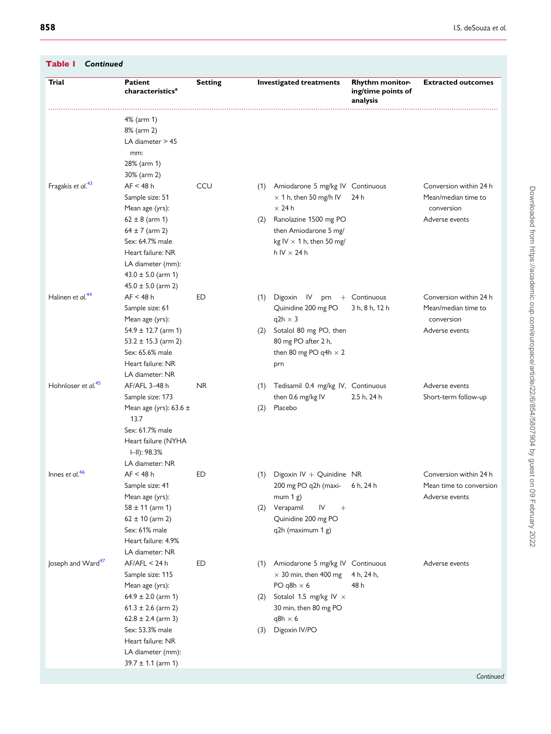<span id="page-4-0"></span>

| Trial                          | Patient<br>characteristics $a$                                                                                                                                                                                            | <b>Setting</b> |                   | <b>Investigated treatments</b>                                                                                                                                                                | <b>Rhythm monitor-</b><br>ing/time points of<br>analysis | <b>Extracted outcomes</b>                                                     |
|--------------------------------|---------------------------------------------------------------------------------------------------------------------------------------------------------------------------------------------------------------------------|----------------|-------------------|-----------------------------------------------------------------------------------------------------------------------------------------------------------------------------------------------|----------------------------------------------------------|-------------------------------------------------------------------------------|
|                                | 4% (arm 1)<br>8% (arm 2)<br>LA diameter > 45<br>mm:<br>28% (arm 1)<br>30% (arm 2)                                                                                                                                         |                |                   |                                                                                                                                                                                               |                                                          |                                                                               |
| Fragakis et al. <sup>43</sup>  | AF < 48 h<br>Sample size: 51<br>Mean age (yrs):<br>$62 \pm 8$ (arm 1)<br>$64 \pm 7$ (arm 2)<br>Sex: 64.7% male<br>Heart failure: NR<br>LA diameter (mm):<br>$43.0 \pm 5.0$ (arm 1)<br>$45.0 \pm 5.0$ (arm 2)              | CCU            | (1)<br>(2)        | Amiodarone 5 mg/kg IV Continuous<br>$\times$ 1 h, then 50 mg/h IV<br>$\times$ 24 h<br>Ranolazine 1500 mg PO<br>then Amiodarone 5 mg/<br>kg IV $\times$ 1 h, then 50 mg/<br>$h IV \times 24 h$ | 24 h                                                     | Conversion within 24 h<br>Mean/median time to<br>conversion<br>Adverse events |
| Halinen et al. <sup>44</sup>   | AF < 48 h<br>Sample size: 61<br>Mean age (yrs):<br>$54.9 \pm 12.7$ (arm 1)<br>$53.2 \pm 15.3$ (arm 2)<br>Sex: 65.6% male<br>Heart failure: NR<br>LA diameter: NR                                                          | ED             | (1)<br>(2)        | Digoxin<br><b>IV</b><br>prn<br>Quinidine 200 mg PO<br>$q2h \times 3$<br>Sotalol 80 mg PO, then<br>80 mg PO after 2 h,<br>then 80 mg PO q4h $\times$ 2<br>prn                                  | + Continuous<br>3 h, 8 h, 12 h                           | Conversion within 24 h<br>Mean/median time to<br>conversion<br>Adverse events |
| Hohnloser et al. <sup>45</sup> | AF/AFL 3-48 h<br>Sample size: 173<br>Mean age (yrs): $63.6 \pm$<br>13.7<br>Sex: 61.7% male<br>Heart failure (NYHA<br>$\Box$ : 98.3%<br>LA diameter: NR                                                                    | <b>NR</b>      | (1)<br>(2)        | Tedisamil 0.4 mg/kg IV, Continuous<br>then 0.6 mg/kg IV<br>Placebo                                                                                                                            | 2.5 h, 24 h                                              | Adverse events<br>Short-term follow-up                                        |
| Innes et al. <sup>46</sup>     | AF < 48 h<br>Sample size: 41<br>Mean age (yrs):<br>$58 \pm 11$ (arm 1)<br>$62 \pm 10$ (arm 2)<br>Sex: 61% male<br>Heart failure: 4.9%<br>LA diameter: NR                                                                  | ED             | (2)               | (1) Digoxin IV + Quinidine NR<br>200 mg PO q2h (maxi-<br>mum $1 g$ )<br>Verapamil<br>IV<br>$^{+}$<br>Quinidine 200 mg PO<br>q2h (maximum 1 g)                                                 | 6 h, 24 h                                                | Conversion within 24 h<br>Mean time to conversion<br>Adverse events           |
| Joseph and Ward <sup>47</sup>  | AF/AFL < 24 h<br>Sample size: 115<br>Mean age (yrs):<br>$64.9 \pm 2.0$ (arm 1)<br>$61.3 \pm 2.6$ (arm 2)<br>$62.8 \pm 2.4$ (arm 3)<br>Sex: 53.3% male<br>Heart failure: NR<br>LA diameter (mm):<br>$39.7 \pm 1.1$ (arm 1) | ED             | (1)<br>(2)<br>(3) | Amiodarone 5 mg/kg IV Continuous<br>$\times$ 30 min, then 400 mg<br>PO q8h $\times$ 6<br>Sotalol 1.5 mg/kg IV x<br>30 min, then 80 mg PO<br>q8h $\times$ 6<br>Digoxin IV/PO                   | 4 h, 24 h,<br>48 h                                       | Adverse events                                                                |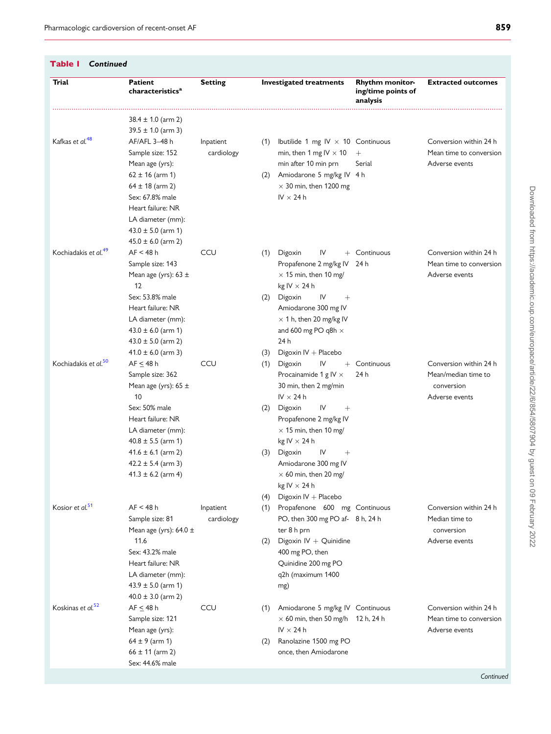<span id="page-5-0"></span>

| Table I<br>Continued             |                                                                                                    |            |     |                                                          |                           |                         |  |
|----------------------------------|----------------------------------------------------------------------------------------------------|------------|-----|----------------------------------------------------------|---------------------------|-------------------------|--|
| Trial                            | <b>Patient</b><br><b>Setting</b><br><b>Investigated treatments</b><br>characteristics <sup>a</sup> |            |     | <b>Rhythm monitor-</b><br>ing/time points of<br>analysis | <b>Extracted outcomes</b> |                         |  |
|                                  | $38.4 \pm 1.0$ (arm 2)                                                                             |            |     |                                                          |                           |                         |  |
|                                  | $39.5 \pm 1.0$ (arm 3)                                                                             |            |     |                                                          |                           |                         |  |
| Kafkas et al. <sup>48</sup>      | AF/AFL 3-48 h                                                                                      | Inpatient  | (1) | Ibutilide 1 mg IV $\times$ 10 Continuous                 |                           | Conversion within 24 h  |  |
|                                  | Sample size: 152                                                                                   | cardiology |     | min, then 1 mg IV $\times$ 10                            | $^{+}$                    | Mean time to conversion |  |
|                                  | Mean age (yrs):                                                                                    |            |     | min after 10 min prn                                     | Serial                    | Adverse events          |  |
|                                  | $62 \pm 16$ (arm 1)                                                                                |            | (2) | Amiodarone 5 mg/kg IV 4 h                                |                           |                         |  |
|                                  | $64 \pm 18$ (arm 2)<br>Sex: 67.8% male                                                             |            |     | $\times$ 30 min, then 1200 mg<br>$IV \times 24h$         |                           |                         |  |
|                                  | Heart failure: NR                                                                                  |            |     |                                                          |                           |                         |  |
|                                  | LA diameter (mm):                                                                                  |            |     |                                                          |                           |                         |  |
|                                  | $43.0 \pm 5.0$ (arm 1)                                                                             |            |     |                                                          |                           |                         |  |
|                                  | $45.0 \pm 6.0$ (arm 2)                                                                             |            |     |                                                          |                           |                         |  |
| Kochiadakis et al. <sup>49</sup> | AF < 48 h                                                                                          | CCU        | (1) | IV<br>Digoxin<br>$^{+}$                                  | Continuous                | Conversion within 24 h  |  |
|                                  | Sample size: 143                                                                                   |            |     | Propafenone 2 mg/kg IV                                   | 24 h                      | Mean time to conversion |  |
|                                  | Mean age (yrs): $63 \pm$                                                                           |            |     | $\times$ 15 min, then 10 mg/                             |                           | Adverse events          |  |
|                                  | 12                                                                                                 |            |     | kg IV $\times$ 24 h                                      |                           |                         |  |
|                                  | Sex: 53.8% male                                                                                    |            | (2) | Digoxin<br>IV<br>$^{+}$                                  |                           |                         |  |
|                                  | Heart failure: NR                                                                                  |            |     | Amiodarone 300 mg IV                                     |                           |                         |  |
|                                  | LA diameter (mm):                                                                                  |            |     | $\times$ 1 h, then 20 mg/kg IV                           |                           |                         |  |
|                                  | $43.0 \pm 6.0$ (arm 1)                                                                             |            |     | and 600 mg PO q8h $\times$                               |                           |                         |  |
|                                  | $43.0 \pm 5.0$ (arm 2)                                                                             |            |     | 24 h                                                     |                           |                         |  |
|                                  | $41.0 \pm 6.0$ (arm 3)                                                                             |            | (3) | Digoxin IV + Placebo                                     |                           |                         |  |
| Kochiadakis et al. <sup>50</sup> | $AF \leq 48 h$                                                                                     | CCU        | (1) | Digoxin<br>IV                                            | $+$ Continuous            | Conversion within 24 h  |  |
|                                  | Sample size: 362                                                                                   |            |     | Procainamide 1 g $IV \times$                             | 24 h                      | Mean/median time to     |  |
|                                  | Mean age (yrs): $65 \pm$                                                                           |            |     | 30 min, then 2 mg/min                                    |                           | conversion              |  |
|                                  | 10<br>Sex: 50% male                                                                                |            |     | $IV \times 24h$                                          |                           | Adverse events          |  |
|                                  | Heart failure: NR                                                                                  |            | (2) | Digoxin<br>IV<br>$^{+}$<br>Propafenone 2 mg/kg IV        |                           |                         |  |
|                                  | LA diameter (mm):                                                                                  |            |     | $\times$ 15 min, then 10 mg/                             |                           |                         |  |
|                                  | $40.8 \pm 5.5$ (arm 1)                                                                             |            |     | kg IV $\times$ 24 h                                      |                           |                         |  |
|                                  | $41.6 \pm 6.1$ (arm 2)                                                                             |            | (3) | Digoxin<br>IV<br>$^{+}$                                  |                           |                         |  |
|                                  | $42.2 \pm 5.4$ (arm 3)                                                                             |            |     | Amiodarone 300 mg IV                                     |                           |                         |  |
|                                  | $41.3 \pm 6.2$ (arm 4)                                                                             |            |     | $\times$ 60 min, then 20 mg/                             |                           |                         |  |
|                                  |                                                                                                    |            |     | kg IV $\times$ 24 h                                      |                           |                         |  |
|                                  |                                                                                                    |            | (4) | Digoxin IV + Placebo                                     |                           |                         |  |
| Kosior et al. <sup>51</sup>      | AF < 48 h                                                                                          | Inpatient  | (1) | Propafenone 600 mg Continuous                            |                           | Conversion within 24 h  |  |
|                                  | Sample size: 81                                                                                    | cardiology |     | PO, then 300 mg PO af-8 h, 24 h                          |                           | Median time to          |  |
|                                  | Mean age (yrs): $64.0 \pm$                                                                         |            |     | ter 8 h prn                                              |                           | conversion              |  |
|                                  | 11.6                                                                                               |            | (2) | Digoxin $IV + Quinidine$                                 |                           | Adverse events          |  |
|                                  | Sex: 43.2% male                                                                                    |            |     | 400 mg PO, then                                          |                           |                         |  |
|                                  | Heart failure: NR                                                                                  |            |     | Quinidine 200 mg PO                                      |                           |                         |  |
|                                  | LA diameter (mm):<br>$43.9 \pm 5.0$ (arm 1)                                                        |            |     | q2h (maximum 1400                                        |                           |                         |  |
|                                  | $40.0 \pm 3.0$ (arm 2)                                                                             |            |     | mg)                                                      |                           |                         |  |
| Koskinas et al. <sup>52</sup>    | $AF \leq 48 h$                                                                                     | CCU        | (1) | Amiodarone 5 mg/kg IV Continuous                         |                           | Conversion within 24 h  |  |
|                                  | Sample size: 121                                                                                   |            |     | $\times$ 60 min, then 50 mg/h 12 h, 24 h                 |                           | Mean time to conversion |  |
|                                  | Mean age (yrs):                                                                                    |            |     | IV $\times$ 24 h                                         |                           | Adverse events          |  |
|                                  | $64 \pm 9$ (arm 1)                                                                                 |            | (2) | Ranolazine 1500 mg PO                                    |                           |                         |  |
|                                  | $66 \pm 11$ (arm 2)                                                                                |            |     | once, then Amiodarone                                    |                           |                         |  |
|                                  | Sex: 44.6% male                                                                                    |            |     |                                                          |                           |                         |  |
|                                  |                                                                                                    |            |     |                                                          |                           |                         |  |

Downloaded from https://academic.oup.com/europace/article/22/6/854/5807904 by guest on 09 February 2022 Downloaded from https://academic.oup.com/europace/article/22/6/854/5807904 by guest on 09 February 2022

Continued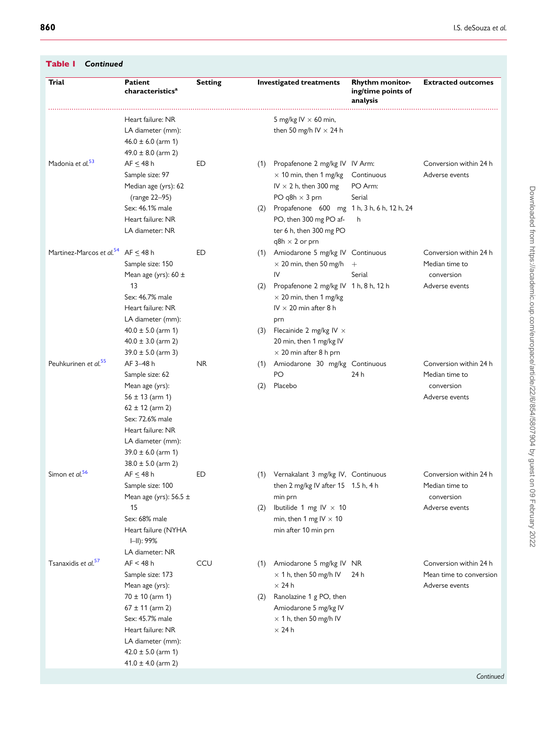<span id="page-6-0"></span>

| Trial                                               | <b>Patient</b><br>characteristics <sup>a</sup>                                                                                                                                                                 | <b>Setting</b> |            | <b>Investigated treatments</b>                                                                                            | Rhythm monitor-<br>ing/time points of<br>analysis | <b>Extracted outcomes</b>                                                |
|-----------------------------------------------------|----------------------------------------------------------------------------------------------------------------------------------------------------------------------------------------------------------------|----------------|------------|---------------------------------------------------------------------------------------------------------------------------|---------------------------------------------------|--------------------------------------------------------------------------|
|                                                     | Heart failure: NR<br>LA diameter (mm):<br>$46.0 \pm 6.0$ (arm 1)                                                                                                                                               |                |            | 5 mg/kg IV $\times$ 60 min,<br>then 50 mg/h IV $\times$ 24 h                                                              |                                                   |                                                                          |
| Madonia et al. <sup>53</sup>                        | $49.0 \pm 8.0$ (arm 2)<br>$AF \leq 48 h$<br>Sample size: 97<br>Median age (yrs): 62<br>(range 22-95)                                                                                                           | ED             | (1)        | Propafenone 2 mg/kg IV IV Arm:<br>$\times$ 10 min, then 1 mg/kg<br>IV $\times$ 2 h, then 300 mg<br>PO q8h $\times$ 3 prn  | Continuous<br>PO Arm:<br>Serial                   | Conversion within 24 h<br>Adverse events                                 |
|                                                     | Sex: 46.1% male<br>Heart failure: NR<br>LA diameter: NR                                                                                                                                                        |                | (2)        | Propafenone 600 mg 1 h, 3 h, 6 h, 12 h, 24<br>PO, then 300 mg PO af-<br>ter 6 h, then 300 mg PO<br>$q8h \times 2$ or prn  | h                                                 |                                                                          |
| Martinez-Marcos et al. <sup>54</sup> AF $\leq$ 48 h | Sample size: 150<br>Mean age (yrs): $60 \pm$                                                                                                                                                                   | ED             |            | (1) Amiodarone 5 mg/kg IV Continuous<br>$\times$ 20 min, then 50 mg/h<br>IV                                               | $^{+}$<br>Serial                                  | Conversion within 24 h<br>Median time to<br>conversion                   |
|                                                     | 13<br>Sex: 46.7% male<br>Heart failure: NR<br>LA diameter (mm):                                                                                                                                                |                | (2)        | Propafenone 2 mg/kg IV 1 h, 8 h, 12 h<br>$\times$ 20 min, then 1 mg/kg<br>$IV \times 20$ min after 8 h<br>prn             |                                                   | Adverse events                                                           |
|                                                     | $40.0 \pm 5.0$ (arm 1)<br>$40.0 \pm 3.0$ (arm 2)<br>$39.0 \pm 5.0$ (arm 3)                                                                                                                                     |                | (3)        | Flecainide 2 mg/kg IV $\times$<br>20 min, then 1 mg/kg IV<br>$\times$ 20 min after 8 h prn                                |                                                   |                                                                          |
| Peuhkurinen et al. <sup>55</sup>                    | AF 3-48 h<br>Sample size: 62<br>Mean age (yrs):<br>$56 \pm 13$ (arm 1)<br>$62 \pm 12$ (arm 2)<br>Sex: 72.6% male<br>Heart failure: NR<br>LA diameter (mm):<br>$39.0 \pm 6.0$ (arm 1)<br>$38.0 \pm 5.0$ (arm 2) | <b>NR</b>      | (1)<br>(2) | Amiodarone 30 mg/kg Continuous<br>PO<br>Placebo                                                                           | 24 h                                              | Conversion within 24 h<br>Median time to<br>conversion<br>Adverse events |
| Simon et al. <sup>56</sup>                          | AF < 48 h<br>Sample size: 100<br>Mean age (yrs): $56.5 \pm$<br>15                                                                                                                                              | ED             | (2)        | (1) Vernakalant 3 mg/kg IV, Continuous<br>then 2 mg/kg IV after 15 1.5 h, 4 h<br>min prn<br>Ibutilide 1 mg IV $\times$ 10 |                                                   | Conversion within 24 h<br>Median time to<br>conversion<br>Adverse events |
|                                                     | Sex: 68% male<br>Heart failure (NYHA<br>III): 99%<br>LA diameter: NR                                                                                                                                           |                |            | min, then 1 mg IV $\times$ 10<br>min after 10 min prn                                                                     |                                                   |                                                                          |
| Tsanaxidis et al. <sup>57</sup>                     | AF < 48 h<br>Sample size: 173<br>Mean age (yrs):                                                                                                                                                               | CCU            | (1)        | Amiodarone 5 mg/kg IV NR<br>$\times$ 1 h, then 50 mg/h IV<br>$\times$ 24 h                                                | 24 h                                              | Conversion within 24 h<br>Mean time to conversion<br>Adverse events      |
|                                                     | $70 \pm 10$ (arm 1)<br>$67 \pm 11$ (arm 2)<br>Sex: 45.7% male<br>Heart failure: NR<br>LA diameter (mm):<br>$42.0 \pm 5.0$ (arm 1)                                                                              |                | (2)        | Ranolazine 1 g PO, then<br>Amiodarone 5 mg/kg IV<br>$\times$ 1 h, then 50 mg/h IV<br>$\times$ 24 h                        |                                                   |                                                                          |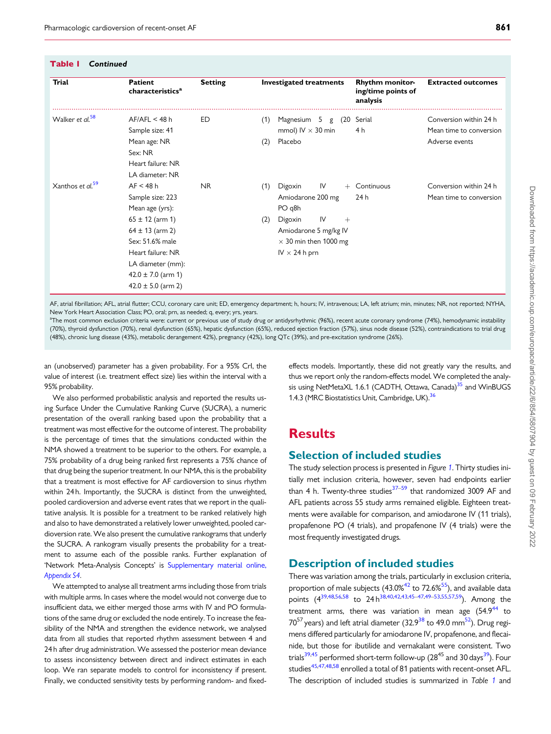<span id="page-7-0"></span>

| Table I | Continued |
|---------|-----------|
|---------|-----------|

| Trial                        | Patient<br>characteristics <sup>a</sup>                                                                                                                                                                         | <b>Setting</b> | <b>Investigated treatments</b>                                                                                                                                             | <b>Rhythm monitor-</b><br>ing/time points of<br>analysis | <b>Extracted outcomes</b>                                           |
|------------------------------|-----------------------------------------------------------------------------------------------------------------------------------------------------------------------------------------------------------------|----------------|----------------------------------------------------------------------------------------------------------------------------------------------------------------------------|----------------------------------------------------------|---------------------------------------------------------------------|
| Walker et al. <sup>58</sup>  | AF/AFL < 48 h<br>Sample size: 41<br>Mean age: NR<br>Sex: NR<br>Heart failure: NR<br>LA diameter: NR                                                                                                             | ED             | Magnesium<br>(1)<br>5<br>(20<br>g<br>mmol) $IV \times 30$ min<br>Placebo<br>(2)                                                                                            | Serial<br>4 h                                            | Conversion within 24 h<br>Mean time to conversion<br>Adverse events |
| Xanthos et al. <sup>59</sup> | AF < 48 h<br>Sample size: 223<br>Mean age (yrs):<br>$65 \pm 12$ (arm 1)<br>$64 \pm 13$ (arm 2)<br>Sex: 51.6% male<br>Heart failure: NR<br>LA diameter (mm):<br>$42.0 \pm 7.0$ (arm 1)<br>$42.0 \pm 5.0$ (arm 2) | <b>NR</b>      | IV<br>Digoxin<br>(1)<br>$+$<br>Amiodarone 200 mg<br>PO q8h<br>IV<br>Digoxin<br>(2)<br>$+$<br>Amiodarone 5 mg/kg IV<br>$\times$ 30 min then 1000 mg<br>$IV \times 24$ h prn | Continuous<br>24 h                                       | Conversion within 24 h<br>Mean time to conversion                   |

AF, atrial fibrillation; AFL, atrial flutter; CCU, coronary care unit; ED, emergency department; h, hours; IV, intravenous; LA, left atrium; min, minutes; NR, not reported; NYHA, New York Heart Association Class; PO, oral; prn, as needed; q, every; yrs, years.

a The most common exclusion criteria were: current or previous use of study drug or antidysrhythmic (96%), recent acute coronary syndrome (74%), hemodynamic instability (70%), thyroid dysfunction (70%), renal dysfunction (65%), hepatic dysfunction (65%), reduced ejection fraction (57%), sinus node disease (52%), contraindications to trial drug (48%), chronic lung disease (43%), metabolic derangement 42%), pregnancy (42%), long QTc (39%), and pre-excitation syndrome (26%).

an (unobserved) parameter has a given probability. For a 95% CrI, the value of interest (i.e. treatment effect size) lies within the interval with a 95% probability.

We also performed probabilistic analysis and reported the results using Surface Under the Cumulative Ranking Curve (SUCRA), a numeric presentation of the overall ranking based upon the probability that a treatment was most effective for the outcome of interest. The probability is the percentage of times that the simulations conducted within the NMA showed a treatment to be superior to the others. For example, a 75% probability of a drug being ranked first represents a 75% chance of that drug being the superior treatment. In our NMA, this is the probability that a treatment is most effective for AF cardioversion to sinus rhythm within 24 h. Importantly, the SUCRA is distinct from the unweighted, pooled cardioversion and adverse event rates that we report in the qualitative analysis. It is possible for a treatment to be ranked relatively high and also to have demonstrated a relatively lower unweighted, pooled cardioversion rate. We also present the cumulative rankograms that underly the SUCRA. A rankogram visually presents the probability for a treatment to assume each of the possible ranks. Further explanation of 'Network Meta-Analysis Concepts' is [Supplementary material online,](https://academic.oup.com/europace/article-lookup/doi/10.1093/europace/euaa024#supplementary-data) [Appendix S4](https://academic.oup.com/europace/article-lookup/doi/10.1093/europace/euaa024#supplementary-data).

We attempted to analyse all treatment arms including those from trials with multiple arms. In cases where the model would not converge due to insufficient data, we either merged those arms with IV and PO formulations of the same drug or excluded the node entirely. To increase the feasibility of the NMA and strengthen the evidence network, we analysed data from all studies that reported rhythm assessment between 4 and 24 h after drug administration. We assessed the posterior mean deviance to assess inconsistency between direct and indirect estimates in each loop. We ran separate models to control for inconsistency if present. Finally, we conducted sensitivity tests by performing random- and fixed-

effects models. Importantly, these did not greatly vary the results, and thus we report only the random-effects model. We completed the analysis using NetMetaXL 1.6.1 (CADTH, Ottawa, Canada)<sup>35</sup> and WinBUGS 1.4.3 (MRC Biostatistics Unit, Cambridge, UK).<sup>[36](#page-14-0)</sup>

## **Results**

### Selection of included studies

The study selection process is presented in Figure [1](#page-2-0). Thirty studies initially met inclusion criteria, however, seven had endpoints earlier than 4 h. Twenty-three studies $37-59$  that randomized 3009 AF and AFL patients across 55 study arms remained eligible. Eighteen treatments were available for comparison, and amiodarone IV (11 trials), propafenone PO (4 trials), and propafenone IV (4 trials) were the most frequently investigated drugs.

### Description of included studies

There was variation among the trials, particularly in exclusion criteria, proportion of male subjects  $(43.0\%^{42}$  $(43.0\%^{42}$  $(43.0\%^{42}$  to  $72.6\%^{55}$ ), and available data points (4<sup>39,[48,56,58](#page-14-0)</sup> to 24 h<sup>[38,40,42,43,45](#page-14-0)–[47,49–53,55,57](#page-14-0),[59](#page-14-0)</sup>). Among the treatment arms, there was variation in mean age  $(54.9^{44}$  to  $70^{57}$  years) and left atrial diameter (32.9<sup>38</sup> to 49.0 mm<sup>[52](#page-14-0)</sup>). Drug regimens differed particularly for amiodarone IV, propafenone, and flecainide, but those for ibutilide and vernakalant were consistent. Two trials<sup>[39](#page-14-0),45</sup> performed short-term follow-up  $(28^{45}$  and 30 days<sup>39</sup>). Four studies<sup>45,47,48,58</sup> enrolled a total of 81 patients with recent-onset AFL. The description of included studies is summarized in Table [1](#page-3-0) and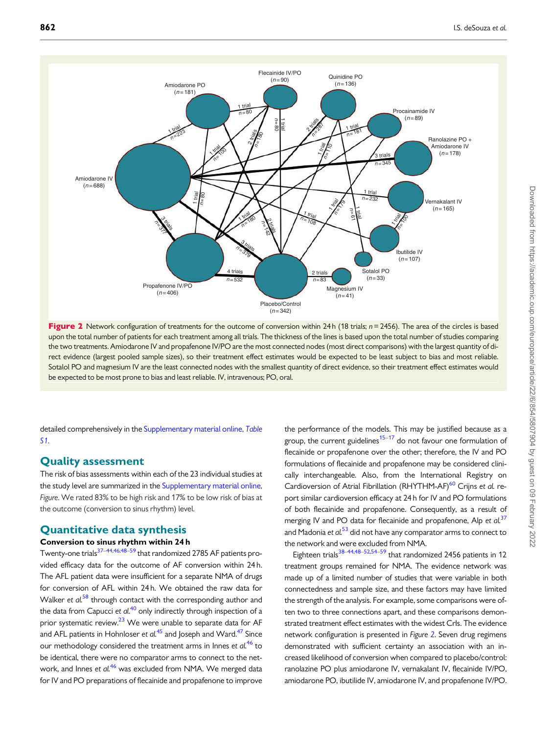<span id="page-8-0"></span>

Figure 2 Network configuration of treatments for the outcome of conversion within 24 h (18 trials;  $n = 2456$ ). The area of the circles is based upon the total number of patients for each treatment among all trials. The thickness of the lines is based upon the total number of studies comparing the two treatments. Amiodarone IV and propafenone IV/PO are the most connected nodes (most direct comparisons) with the largest quantity of direct evidence (largest pooled sample sizes), so their treatment effect estimates would be expected to be least subject to bias and most reliable. Sotalol PO and magnesium IV are the least connected nodes with the smallest quantity of direct evidence, so their treatment effect estimates would be expected to be most prone to bias and least reliable. IV, intravenous; PO, oral.

detailed comprehensively in the [Supplementary material online,](https://academic.oup.com/europace/article-lookup/doi/10.1093/europace/euaa024#supplementary-data) [Table](https://academic.oup.com/europace/article-lookup/doi/10.1093/europace/euaa024#supplementary-data) [S1](https://academic.oup.com/europace/article-lookup/doi/10.1093/europace/euaa024#supplementary-data).

### Quality assessment

The risk of bias assessments within each of the 23 individual studies at the study level are summarized in the [Supplementary material online,](https://academic.oup.com/europace/article-lookup/doi/10.1093/europace/euaa024#supplementary-data) Figure. We rated 83% to be high risk and 17% to be low risk of bias at the outcome (conversion to sinus rhythm) level.

### Quantitative data synthesis

### Conversion to sinus rhythm within 24 h

Twenty-one trials<sup>37–44,[46,48–59](#page-14-0)</sup> that randomized 2785 AF patients provided efficacy data for the outcome of AF conversion within 24 h. The AFL patient data were insufficient for a separate NMA of drugs for conversion of AFL within 24 h. We obtained the raw data for Walker et  $al$ <sup>[58](#page-14-0)</sup> through contact with the corresponding author and the data from Capucci et  $al$ <sup>[40](#page-14-0)</sup> only indirectly through inspection of a prior systematic review.<sup>23</sup> We were unable to separate data for AF and AFL patients in Hohnloser et  $al^{45}$  $al^{45}$  $al^{45}$  and Joseph and Ward.<sup>47</sup> Since our methodology considered the treatment arms in Innes et  $al^{46}$  $al^{46}$  $al^{46}$  to be identical, there were no comparator arms to connect to the net-work, and Innes et al.<sup>[46](#page-14-0)</sup> was excluded from NMA. We merged data for IV and PO preparations of flecainide and propafenone to improve

the performance of the models. This may be justified because as a group, the current guidelines<sup>15–17</sup> do not favour one formulation of flecainide or propafenone over the other; therefore, the IV and PO formulations of flecainide and propafenone may be considered clinically interchangeable. Also, from the International Registry on Cardioversion of Atrial Fibrillation (RHYTHM-AF)<sup>[60](#page-14-0)</sup> Crijns et al. report similar cardioversion efficacy at 24 h for IV and PO formulations of both flecainide and propafenone. Consequently, as a result of merging IV and PO data for flecainide and propafenone, Alp et  $al<sup>37</sup>$  $al<sup>37</sup>$  $al<sup>37</sup>$ and Madonia et al.<sup>[53](#page-14-0)</sup> did not have any comparator arms to connect to the network and were excluded from NMA.

Eighteen trials<sup>[38](#page-14-0)–[44,48–52,54–59](#page-14-0)</sup> that randomized 2456 patients in 12 treatment groups remained for NMA. The evidence network was made up of a limited number of studies that were variable in both connectedness and sample size, and these factors may have limited the strength of the analysis. For example, some comparisons were often two to three connections apart, and these comparisons demonstrated treatment effect estimates with the widest CrIs. The evidence network configuration is presented in Figure 2. Seven drug regimens demonstrated with sufficient certainty an association with an increased likelihood of conversion when compared to placebo/control: ranolazine PO plus amiodarone IV, vernakalant IV, flecainide IV/PO, amiodarone PO, ibutilide IV, amiodarone IV, and propafenone IV/PO.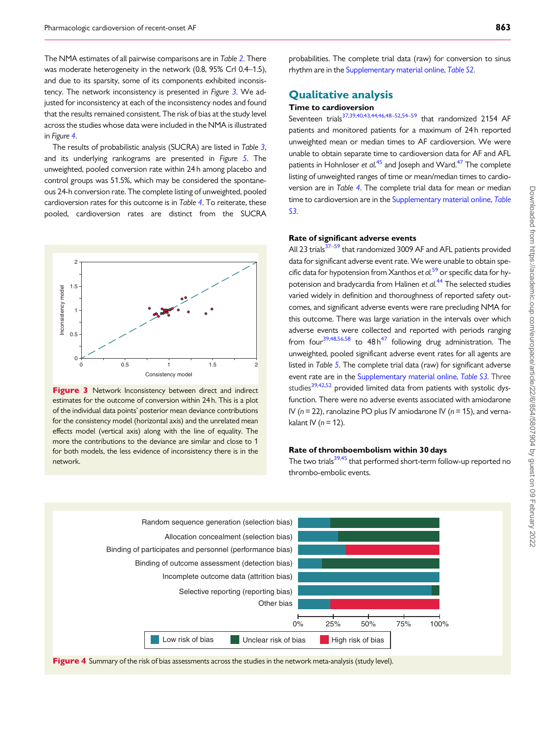The NMA estimates of all pairwise comparisons are in Table [2](#page-10-0). There was moderate heterogeneity in the network (0.8, 95% CrI 0.4–1.5), and due to its sparsity, some of its components exhibited inconsistency. The network inconsistency is presented in Figure 3. We adjusted for inconsistency at each of the inconsistency nodes and found that the results remained consistent. The risk of bias at the study level across the studies whose data were included in the NMA is illustrated in Figure 4.

The results of probabilistic analysis (SUCRA) are listed in Table [3](#page-11-0), and its underlying rankograms are presented in Figure [5](#page-11-0). The unweighted, pooled conversion rate within 24 h among placebo and control groups was 51.5%, which may be considered the spontaneous 24-h conversion rate. The complete listing of unweighted, pooled cardioversion rates for this outcome is in Table [4](#page-12-0). To reiterate, these pooled, cardioversion rates are distinct from the SUCRA



Figure 3 Network Inconsistency between direct and indirect estimates for the outcome of conversion within 24 h. This is a plot of the individual data points' posterior mean deviance contributions for the consistency model (horizontal axis) and the unrelated mean effects model (vertical axis) along with the line of equality. The more the contributions to the deviance are similar and close to 1 for both models, the less evidence of inconsistency there is in the network.

probabilities. The complete trial data (raw) for conversion to sinus rhythm are in the [Supplementary material online](https://academic.oup.com/europace/article-lookup/doi/10.1093/europace/euaa024#supplementary-data), [Table S2](https://academic.oup.com/europace/article-lookup/doi/10.1093/europace/euaa024#supplementary-data).

### Qualitative analysis

### Time to cardioversion

Seventeen trials<sup>37,39,[40,43,44,46,48](#page-14-0)–[52,54–59](#page-14-0)</sup> that randomized 2154 AF patients and monitored patients for a maximum of 24 h reported unweighted mean or median times to AF cardioversion. We were unable to obtain separate time to cardioversion data for AF and AFL patients in Hohnloser et  $al^{45}$  $al^{45}$  $al^{45}$  and Joseph and Ward.<sup>47</sup> The complete listing of unweighted ranges of time or mean/median times to cardioversion are in Table [4](#page-12-0). The complete trial data for mean or median time to cardioversion are in the [Supplementary material online,](https://academic.oup.com/europace/article-lookup/doi/10.1093/europace/euaa024#supplementary-data) [Table](https://academic.oup.com/europace/article-lookup/doi/10.1093/europace/euaa024#supplementary-data) [S3](https://academic.oup.com/europace/article-lookup/doi/10.1093/europace/euaa024#supplementary-data).

### Rate of significant adverse events

All 23 trials<sup>37-59</sup> that randomized 3009 AF and AFL patients provided data for significant adverse event rate. We were unable to obtain specific data for hypotension from Xanthos et  $al<sup>59</sup>$  $al<sup>59</sup>$  $al<sup>59</sup>$  or specific data for hy-potension and bradycardia from Halinen et al.<sup>[44](#page-14-0)</sup> The selected studies varied widely in definition and thoroughness of reported safety outcomes, and significant adverse events were rare precluding NMA for this outcome. There was large variation in the intervals over which adverse events were collected and reported with periods ranging from four<sup>39,48,56,[58](#page-14-0)</sup> to  $48 h^{47}$  following drug administration. The unweighted, pooled significant adverse event rates for all agents are listed in Table [5](#page-12-0). The complete trial data (raw) for significant adverse event rate are in the [Supplementary material online,](https://academic.oup.com/europace/article-lookup/doi/10.1093/europace/euaa024#supplementary-data) [Table S3](https://academic.oup.com/europace/article-lookup/doi/10.1093/europace/euaa024#supplementary-data). Three studies<sup>39,42,52</sup> provided limited data from patients with systolic dysfunction. There were no adverse events associated with amiodarone IV ( $n = 22$ ), ranolazine PO plus IV amiodarone IV ( $n = 15$ ), and vernakalant IV ( $n = 12$ ).

### Rate of thromboembolism within 30 days

The two trials<sup>39,45</sup> that performed short-term follow-up reported no thrombo-embolic events.



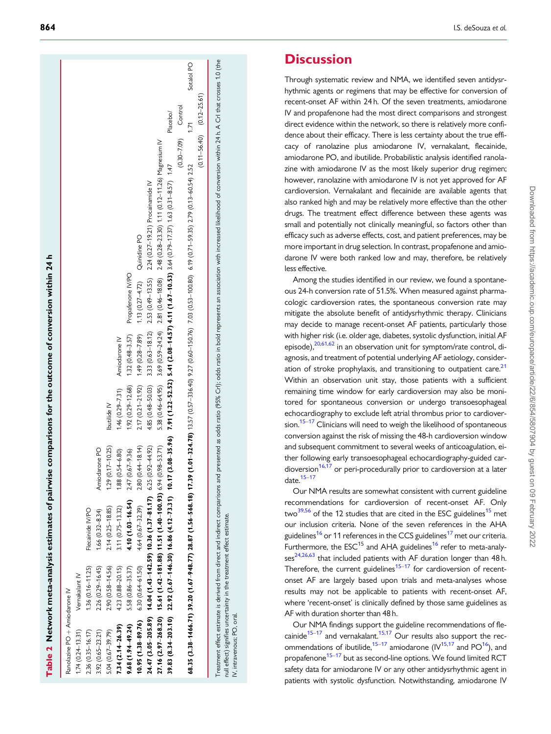| Ranolazine PO + Amiodarone IV |                      |                                                                                    |                        |                                      |                                   |                                                                                                                                                                                                                               |                                   |            |
|-------------------------------|----------------------|------------------------------------------------------------------------------------|------------------------|--------------------------------------|-----------------------------------|-------------------------------------------------------------------------------------------------------------------------------------------------------------------------------------------------------------------------------|-----------------------------------|------------|
| $1.74(0.24 - 13.31)$          | Vernakalant IV       |                                                                                    |                        |                                      |                                   |                                                                                                                                                                                                                               |                                   |            |
| $2.36(0.35 - 16.17)$          | $1.36(0.16 - 11.25)$ | Flecainide IV/PO                                                                   |                        |                                      |                                   |                                                                                                                                                                                                                               |                                   |            |
| $3.92(0.65 - 23.21)$          | $2.26(0.29 - 16.45)$ | $1.66(0.32 - 8.34)$                                                                | Amiodarone PO          |                                      |                                   |                                                                                                                                                                                                                               |                                   |            |
| $5.04(0.67 - 39.79)$          | $2.90(0.58 - 14.56)$ | $2.14(0.25 - 18.85)$                                                               | $1.29(0.17 - 10.25)$   | Ibutilide IV                         |                                   |                                                                                                                                                                                                                               |                                   |            |
| $7.34(2.14 - 26.39)$          | 4.23 (0.88-20.15)    | 3.11 (0.75-13.32)                                                                  | $1.88(0.54 - 6.80)$    | 1.46 (0.29-7.31) Amiodarone IV       |                                   |                                                                                                                                                                                                                               |                                   |            |
| $9.68(1.94 - 49.24)$          | 5.58 (0.86-35.37)    | $4.10(1.03 - 16.54)$                                                               | $67 - 9.36$<br>2.47(0. | $(0.29 - 12.68)$ $(0.48 - 3.57)$     | Propafenone IV/PO                 |                                                                                                                                                                                                                               |                                   |            |
| $10.95(1.38 - 89.76)$         | $6.30(0.64-61.50)$   | $4.64(0.67 - 32.39)$                                                               | $2.80(0.44 - 18.14)$   | $2.17(0.21-21.92)$ $1.49(0.28-7.89)$ | 1.13 $(0.27 - 4.72)$ Quinidine PO |                                                                                                                                                                                                                               |                                   |            |
|                               |                      | $24.47(3.05-205.89)$ $14.04(1.43-142.59)$ 10.36 $(1.37-81.17)$ 6.25 $(0.92-44.92)$ |                        |                                      |                                   | 4.85 (0.48-50.03) 3.33 (0.63-18.12) 2.53 (0.49-13.55) 2.24 (0.27-19.21) Procainamide IV                                                                                                                                       |                                   |            |
|                               |                      | 27.16 (2.97-268.20) 15.61 (1.42-181.88) 11.51 (1.40-100.93) 6.94 (0.98-53.71)      |                        |                                      |                                   | 5.38 (0.46-64.95) 3.69 (0.59-24.24) 2.81 (0.46-18.08) 2.48 (0.28-23.30) 1.11 (0.12-11.26) Magnesium IV                                                                                                                        |                                   |            |
|                               |                      | 39.83 $(8.34-203.10)$ 22.92 $(3.67-146.30)$ 16.86 $(4.12-73.31)$ 10.17             |                        |                                      |                                   | $(3.08-35.96)$ 7.91 $(1.21-52.52)$ 5.41 $(2.08-14.57)$ 4.11 $(1.67-10.53)$ 3.64 $(0.79-17.37)$ 1.63 $(0.31-8.57)$ 1.47                                                                                                        | Placebo/                          |            |
|                               |                      |                                                                                    |                        |                                      |                                   |                                                                                                                                                                                                                               | $(0.30 - 7.09)$ Control           |            |
|                               |                      |                                                                                    |                        |                                      |                                   | 68.35 (3.38-1466.71) 39.20 (1.67-948.77) 28.87 (1.56-568.18) 17.39 (1.01-324.78) 13.57 (0.57-396.40) 5.27 (0.60-190.76) 7.03 (0.53-100.80) 6.19 (0.17-59.35) 2.79 (0.13-60.54) 2.52                                           | 1.71                              | Sotalol PO |
|                               |                      |                                                                                    |                        |                                      |                                   |                                                                                                                                                                                                                               | $(0.11 - 56.40)$ $(0.12 - 25.61)$ |            |
|                               |                      |                                                                                    |                        |                                      |                                   | Treatment effect estimate is derived from direct and indirect comparisons and presented as odds ratio (95% Crl); odds ratio in bold represents an association with increased likelihood of conversion within 24 h. A Crl that |                                   |            |

null effect) signifies uncertainty in the treatment effect estimate. null effect) signifies uncertainty in the treatment effect estimate. IV, intravenous; PO, oral. IV, intravenous; PO, oral.

<span id="page-10-0"></span>**864** I.S. deSouza et *al.* 

# **Discussion**

Through systematic review and NMA, we identified seven antidysrhythmic agents or regimens that may be effective for conversion of recent-onset AF within 24 h. Of the seven treatments, amiodarone IV and propafenone had the most direct comparisons and strongest direct evidence within the network, so there is relatively more confidence about their efficacy. There is less certainty about the true efficacy of ranolazine plus amiodarone IV, vernakalant, flecainide, amiodarone PO, and ibutilide. Probabilistic analysis identified ranolazine with amiodarone IV as the most likely superior drug regimen; however, ranolazine with amiodarone IV is not yet approved for AF cardioversion. Vernakalant and flecainide are available agents that also ranked high and may be relatively more effective than the other drugs. The treatment effect difference between these agents was small and potentially not clinically meaningful, so factors other than efficacy such as adverse effects, cost, and patient preferences, may be more important in drug selection. In contrast, propafenone and amiodarone IV were both ranked low and may, therefore, be relatively less effective.

Among the studies identified in our review, we found a spontaneous 24-h conversion rate of 51.5%. When measured against pharmacologic cardioversion rates, the spontaneous conversion rate may mitigate the absolute benefit of antidysrhythmic therapy. Clinicians may decide to manage recent-onset AF patients, particularly those with higher risk (i.e. older age, diabetes, systolic dysfunction, initial AF episode),<sup>[20](#page-14-0)[,61](#page-15-0)[,62](#page-15-0)</sup> in an observation unit for symptom/rate control, diagnosis, and treatment of potential underlying AF aetiology, consideration of stroke prophylaxis, and transitioning to outpatient care.<sup>21</sup> Within an observation unit stay, those patients with a sufficient remaining time window for early cardioversion may also be monitored for spontaneous conversion or undergo transoesophageal echocardiography to exclude left atrial thrombus prior to cardiover-sion.<sup>[15](#page-14-0)–[17](#page-14-0)</sup> Clinicians will need to weigh the likelihood of spontaneous conversion against the risk of missing the 48-h cardioversion window and subsequent commitment to several weeks of anticoagulation, either following early transoesophageal echocardiography-guided cardioversion $16,17$  or peri-procedurally prior to cardioversion at a later date. $15-17$  $15-17$ 

Our NMA results are somewhat consistent with current guideline recommendations for cardioversion of recent-onset AF. Only two<sup>[39](#page-14-0),[56](#page-14-0)</sup> of the 12 studies that are cited in the ESC guidelines<sup>[15](#page-14-0)</sup> met our inclusion criteria. None of the seven references in the AHA guidelines<sup>16</sup> or 11 references in the CCS guidelines<sup>17</sup> met our criteria. Furthermore, the  $ESC^{15}$  and AHA guidelines<sup>16</sup> refer to meta-analy-ses<sup>24,26[,63](#page-15-0)</sup> that included patients with AF duration longer than 48 h. Therefore, the current guidelines<sup>15-17</sup> for cardioversion of recentonset AF are largely based upon trials and meta-analyses whose results may not be applicable to patients with recent-onset AF, where 'recent-onset' is clinically defined by those same guidelines as AF with duration shorter than 48 h.

Our NMA findings support the guideline recommendations of fle-cainide<sup>[15](#page-14-0)–[17](#page-14-0)</sup> and vernakalant.<sup>15,17</sup> Our results also support the recommendations of ibutilide,<sup>15–17</sup> amiodarone ( $IV^{15,17}$  $IV^{15,17}$  $IV^{15,17}$  and  $PO^{16}$ ), and propafenone<sup>[15](#page-14-0)–[17](#page-14-0)</sup> but as second-line options. We found limited RCT safety data for amiodarone IV or any other antidysrhythmic agent in patients with systolic dysfunction. Notwithstanding, amiodarone IV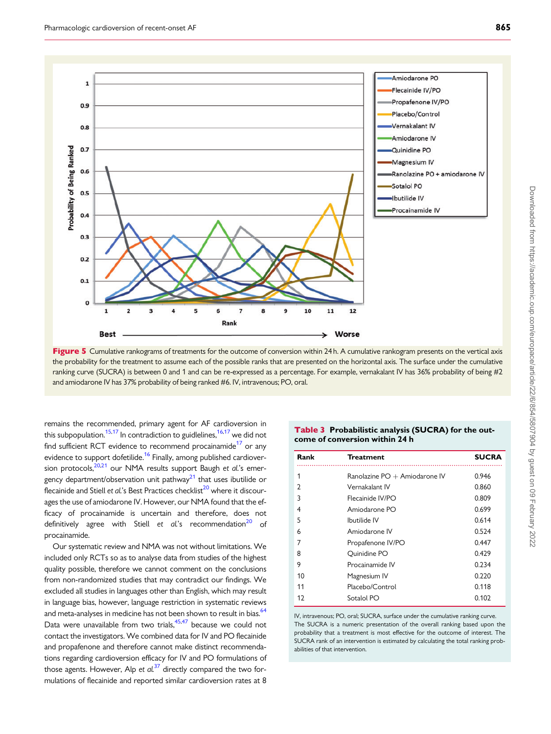<span id="page-11-0"></span>

Figure 5 Cumulative rankograms of treatments for the outcome of conversion within 24 h. A cumulative rankogram presents on the vertical axis the probability for the treatment to assume each of the possible ranks that are presented on the horizontal axis. The surface under the cumulative ranking curve (SUCRA) is between 0 and 1 and can be re-expressed as a percentage. For example, vernakalant IV has 36% probability of being #2 and amiodarone IV has 37% probability of being ranked #6. IV, intravenous; PO, oral.

remains the recommended, primary agent for AF cardioversion in this subpopulation.<sup>[15,17](#page-14-0)</sup> In contradiction to guidlelines,  $16,17$  we did not find sufficient RCT evidence to recommend procainamide<sup>17</sup> or any evidence to support dofetilide.<sup>[16](#page-14-0)</sup> Finally, among published cardiover-sion protocols,<sup>[20,21](#page-14-0)</sup> our NMA results support Baugh et al.'s emergency department/observation unit pathway $2<sup>1</sup>$  that uses ibutilide or flecainide and Stiell et al.'s Best Practices checklist $^{20}$  where it discourages the use of amiodarone IV. However, our NMA found that the efficacy of procainamide is uncertain and therefore, does not definitively agree with Stiell et  $al$ 's recommendation<sup>20</sup> of procainamide.

Our systematic review and NMA was not without limitations. We included only RCTs so as to analyse data from studies of the highest quality possible, therefore we cannot comment on the conclusions from non-randomized studies that may contradict our findings. We excluded all studies in languages other than English, which may result in language bias, however, language restriction in systematic reviews and meta-analyses in medicine has not been shown to result in bias.<sup>64</sup> Data were unavailable from two trials, $45,47$  $45,47$  $45,47$  because we could not contact the investigators. We combined data for IV and PO flecainide and propafenone and therefore cannot make distinct recommendations regarding cardioversion efficacy for IV and PO formulations of those agents. However, Alp et  $al$ .<sup>[37](#page-14-0)</sup> directly compared the two formulations of flecainide and reported similar cardioversion rates at 8

Table 3 Probabilistic analysis (SUCRA) for the outcome of conversion within 24 h

| Rank           | <b>Treatment</b>              | <b>SUCRA</b> |
|----------------|-------------------------------|--------------|
| 1              | Ranolazine PO + Amiodarone IV | 0.946        |
| $\overline{2}$ | Vernakalant IV                | 0.860        |
| 3              | Flecainide IV/PO              | 0.809        |
| 4              | Amiodarone PO                 | 0.699        |
| 5              | Ibutilide IV                  | 0.614        |
| 6              | Amiodarone IV                 | 0.524        |
| 7              | Propafenone IV/PO             | 0.447        |
| 8              | Ouinidine PO                  | 0.429        |
| 9              | Procainamide IV               | 0.234        |
| 10             | Magnesium IV                  | 0.220        |
| 11             | Placebo/Control               | 0.118        |
| 12             | Sotalol PO                    | 0.102        |

IV, intravenous; PO, oral; SUCRA, surface under the cumulative ranking curve. The SUCRA is a numeric presentation of the overall ranking based upon the probability that a treatment is most effective for the outcome of interest. The SUCRA rank of an intervention is estimated by calculating the total ranking probabilities of that intervention.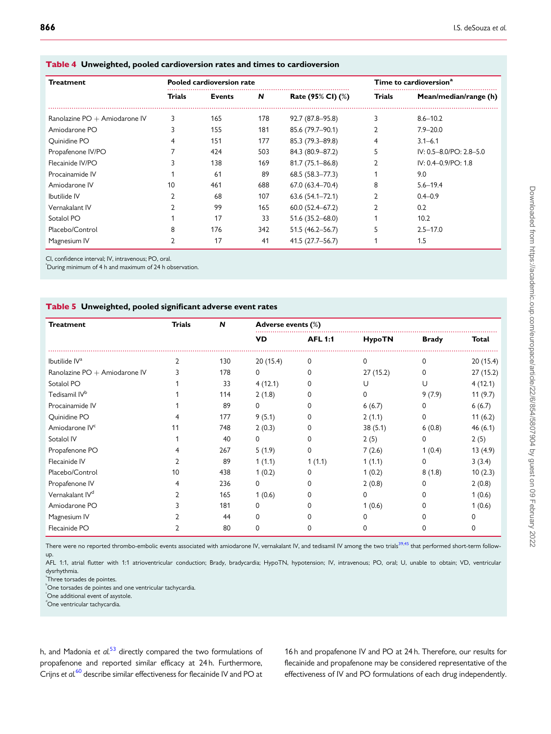| <b>Treatment</b>                |        | <b>Pooled cardioversion rate</b> |     | Time to cardioversion <sup>a</sup> |        |                                 |  |
|---------------------------------|--------|----------------------------------|-----|------------------------------------|--------|---------------------------------|--|
|                                 | Trials | Events                           | N   | Rate (95% CI) (%)                  | Trials | Mean/median/range (h)           |  |
| Ranolazine $PO + Amiodarone IV$ | 3      | 165                              | 178 | 92.7 (87.8-95.8)                   | 3      | $8.6 - 10.2$                    |  |
| Amiodarone PO                   |        | 155                              | 181 | 85.6 (79.7-90.1)                   |        | $7.9 - 20.0$                    |  |
| Quinidine PO                    |        | 151                              | 177 | 85.3 (79.3-89.8)                   |        | $3.1 - 6.1$                     |  |
| Propafenone IV/PO               |        | 424                              | 503 | 84.3 (80.9-87.2)                   |        | $IV: 0.5 - 8.0 / PO: 2.8 - 5.0$ |  |
| Flecainide IV/PO                |        | 138                              | 169 | 81.7 (75.1-86.8)                   |        | $IV: 0.4 - 0.9$ / PO: 1.8       |  |
| Procainamide IV                 |        | 61                               | 89  | $68.5(58.3 - 77.3)$                |        | 9.0                             |  |
| Amiodarone IV                   | 10     | 461                              | 688 | $67.0(63.4 - 70.4)$                | 8      | $5.6 - 19.4$                    |  |
| Ibutilide IV                    |        | 68                               | 107 | $63.6(54.1 - 72.1)$                |        | $0.4 - 0.9$                     |  |
| Vernakalant IV                  |        | 99                               | 165 | $60.0(52.4 - 67.2)$                |        | 0.2                             |  |
| Sotalol PO                      |        | 17                               | 33  | 51.6 (35.2-68.0)                   |        | 10.2                            |  |
| Placebo/Control                 | 8      | 176                              | 342 | 51.5 (46.2–56.7)                   |        | $2.5 - 17.0$                    |  |
| Magnesium IV                    |        | 17                               | 41  | 41.5 (27.7–56.7)                   |        | 1.5                             |  |

<span id="page-12-0"></span>Table 4 Unweighted, pooled cardioversion rates and times to cardioversion

CI, confidence interval; IV, intravenous; PO, oral.

a During minimum of 4 h and maximum of 24 h observation.

### Table 5 Unweighted, pooled significant adverse event rates

| <b>Treatment</b>                               | Trials | N   | Adverse events (%) |                |               |              |          |
|------------------------------------------------|--------|-----|--------------------|----------------|---------------|--------------|----------|
|                                                |        |     | VD                 | <b>AFL 1:1</b> | <b>HypoTN</b> | <b>Brady</b> | Total    |
| Ibutilide $\mathsf{I} \mathsf{V}^{\mathsf{a}}$ |        | 130 | 20(15.4)           | $\Omega$       | $\Omega$      | 0            | 20(15.4) |
| Ranolazine PO + Amiodarone IV                  |        | 178 | 0                  | $\Omega$       | 27(15.2)      | 0            | 27(15.2) |
| Sotalol PO                                     |        | 33  | 4(12.1)            | $\Omega$       | U             | U            | 4(12.1)  |
| Tedisamil IV <sup>b</sup>                      |        | 114 | 2(1.8)             | $\Omega$       | 0             | 9(7.9)       | 11(9.7)  |
| Procainamide IV                                |        | 89  | 0                  | 0              | 6(6.7)        | 0            | 6(6.7)   |
| Quinidine PO                                   |        | 177 | 9(5.1)             | 0              | 2(1.1)        | 0            | 11(6.2)  |
| Amiodarone IV <sup>c</sup>                     | 11     | 748 | 2(0.3)             | 0              | 38(5.1)       | 6(0.8)       | 46(6.1)  |
| Sotalol IV                                     |        | 40  | 0                  | 0              | 2(5)          | 0            | 2(5)     |
| Propafenone PO                                 |        | 267 | 5(1.9)             | 0              | 7(2.6)        | 1(0.4)       | 13(4.9)  |
| Flecainide IV                                  |        | 89  | 1(1.1)             | 1(1.1)         | 1(1.1)        | 0            | 3(3.4)   |
| Placebo/Control                                | 10     | 438 | 1(0.2)             | 0              | 1(0.2)        | 8(1.8)       | 10(2.3)  |
| Propafenone IV                                 |        | 236 | 0                  | 0              | 2(0.8)        | 0            | 2(0.8)   |
| Vernakalant IV <sup>d</sup>                    |        | 165 | 1(0.6)             | O              | 0             | 0            | 1(0.6)   |
| Amiodarone PO                                  |        | 181 | 0                  | 0              | 1(0.6)        | 0            | 1(0.6)   |
| Magnesium IV                                   |        | 44  | 0                  | U              | O             |              | 0        |
| Flecainide PO                                  |        | 80  |                    | ი              |               |              | 0        |

There were no reported thrombo-embolic events associated with amiodarone IV, vernakalant IV, and tedisamil IV among the two trials<sup>[39,45](#page-14-0)</sup> that performed short-term followup.

AFL 1:1, atrial flutter with 1:1 atrioventricular conduction; Brady, bradycardia; HypoTN, hypotension; IV, intravenous; PO, oral; U, unable to obtain; VD, ventricular dysrhythmia.

a Three torsades de pointes.

 $\degree$ One torsades de pointes and one ventricular tachycardia.

One additional event of asystole.

d One ventricular tachycardia.

h, and Madonia et  $al$ <sup>[53](#page-14-0)</sup> directly compared the two formulations of propafenone and reported similar efficacy at 24 h. Furthermore, Crijns et al.<sup>[60](#page-14-0)</sup> describe similar effectiveness for flecainide IV and PO at

16 h and propafenone IV and PO at 24 h. Therefore, our results for flecainide and propafenone may be considered representative of the effectiveness of IV and PO formulations of each drug independently.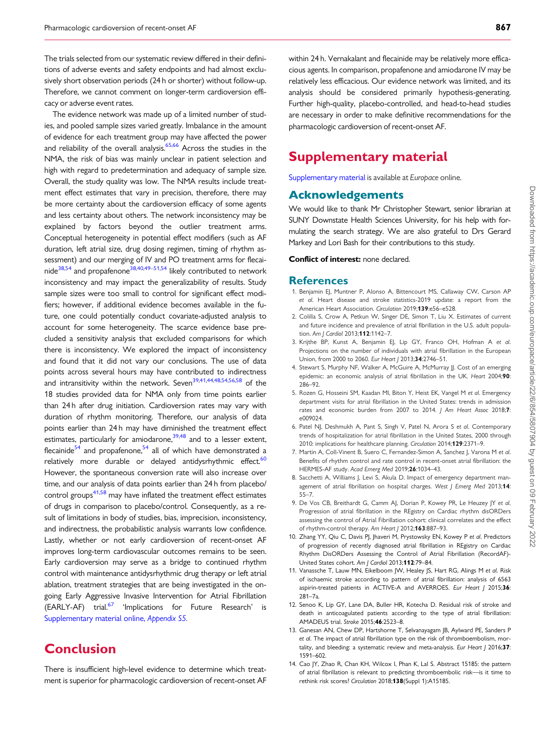<span id="page-13-0"></span>The trials selected from our systematic review differed in their definitions of adverse events and safety endpoints and had almost exclusively short observation periods (24 h or shorter) without follow-up. Therefore, we cannot comment on longer-term cardioversion efficacy or adverse event rates.

The evidence network was made up of a limited number of studies, and pooled sample sizes varied greatly. Imbalance in the amount of evidence for each treatment group may have affected the power and reliability of the overall analysis.<sup>[65](#page-15-0),[66](#page-15-0)</sup> Across the studies in the NMA, the risk of bias was mainly unclear in patient selection and high with regard to predetermination and adequacy of sample size. Overall, the study quality was low. The NMA results include treatment effect estimates that vary in precision, therefore, there may be more certainty about the cardioversion efficacy of some agents and less certainty about others. The network inconsistency may be explained by factors beyond the outlier treatment arms. Conceptual heterogeneity in potential effect modifiers (such as AF duration, left atrial size, drug dosing regimen, timing of rhythm assessment) and our merging of IV and PO treatment arms for flecai-nide<sup>[38](#page-14-0),[54](#page-14-0)</sup> and propafenone<sup>38,40,49–51,54</sup> likely contributed to network inconsistency and may impact the generalizability of results. Study sample sizes were too small to control for significant effect modifiers; however, if additional evidence becomes available in the future, one could potentially conduct covariate-adjusted analysis to account for some heterogeneity. The scarce evidence base precluded a sensitivity analysis that excluded comparisons for which there is inconsistency. We explored the impact of inconsistency and found that it did not vary our conclusions. The use of data points across several hours may have contributed to indirectness and intransitivity within the network. Seven<sup>39,41,44,[48,54,56,58](#page-14-0)</sup> of the 18 studies provided data for NMA only from time points earlier than 24 h after drug initiation. Cardioversion rates may vary with duration of rhythm monitoring. Therefore, our analysis of data points earlier than 24 h may have diminished the treatment effect estimates, particularly for amiodarone, $39,48$  and to a lesser extent, flecainide $54$  and propafenone, $54$  all of which have demonstrated a relatively more durable or delayed antidysrhythmic effect.<sup>60</sup> However, the spontaneous conversion rate will also increase over time, and our analysis of data points earlier than 24 h from placebo/ control groups $41,58$  may have inflated the treatment effect estimates of drugs in comparison to placebo/control. Consequently, as a result of limitations in body of studies, bias, imprecision, inconsistency, and indirectness, the probabilistic analysis warrants low confidence. Lastly, whether or not early cardioversion of recent-onset AF improves long-term cardiovascular outcomes remains to be seen. Early cardioversion may serve as a bridge to continued rhythm control with maintenance antidysrhythmic drug therapy or left atrial ablation, treatment strategies that are being investigated in the ongoing Early Aggressive Invasive Intervention for Atrial Fibrillation (EARLY-AF) trial.<sup>[67](#page-15-0)</sup> 'Implications for Future Research' is [Supplementary material online,](https://academic.oup.com/europace/article-lookup/doi/10.1093/europace/euaa024#supplementary-data) Appendix S5.

# **Conclusion**

There is insufficient high-level evidence to determine which treatment is superior for pharmacologic cardioversion of recent-onset AF

within 24 h. Vernakalant and flecainide may be relatively more efficacious agents. In comparison, propafenone and amiodarone IV may be relatively less efficacious. Our evidence network was limited, and its analysis should be considered primarily hypothesis-generating. Further high-quality, placebo-controlled, and head-to-head studies are necessary in order to make definitive recommendations for the pharmacologic cardioversion of recent-onset AF.

# Supplementary material

[Supplementary material](https://academic.oup.com/europace/article-lookup/doi/10.1093/europace/euaa024#supplementary-data) is available at Europace online.

### Acknowledgements

We would like to thank Mr Christopher Stewart, senior librarian at SUNY Downstate Health Sciences University, for his help with formulating the search strategy. We are also grateful to Drs Gerard Markey and Lori Bash for their contributions to this study.

### Conflict of interest: none declared.

### **References**

- [1](#page-1-0). Benjamin EJ, Muntner P, Alonso A, Bittencourt MS, Callaway CW, Carson AP et al. Heart disease and stroke statistics-2019 update: a report from the American Heart Association. Circulation 2019;139:e56–e528.
- [2](#page-1-0). Colilla S, Crow A, Petkun W, Singer DE, Simon T, Liu X. Estimates of current and future incidence and prevalence of atrial fibrillation in the U.S. adult population. Am | Cardiol 2013;112:1142-7.
- [3](#page-1-0). Krijthe BP, Kunst A, Benjamin EJ, Lip GY, Franco OH, Hofman A et al. Projections on the number of individuals with atrial fibrillation in the European Union, from 2000 to 2060. Eur Heart J 2013;34:2746-51.
- [4](#page-1-0). Stewart S, Murphy NF, Walker A, McGuire A, McMurray JJ. Cost of an emerging epidemic: an economic analysis of atrial fibrillation in the UK. Heart 2004;90: 286–92.
- [5](#page-1-0). Rozen G, Hosseini SM, Kaadan MI, Biton Y, Heist EK, Vangel M et al. Emergency department visits for atrial fibrillation in the United States: trends in admission rates and economic burden from 2007 to 2014. J Am Heart Assoc 2018;7: e009024.
- [6](#page-1-0). Patel NJ, Deshmukh A, Pant S, Singh V, Patel N, Arora S et al. Contemporary trends of hospitalization for atrial fibrillation in the United States, 2000 through 2010: implications for healthcare planning. Circulation 2014;129:2371–9.
- [7](#page-1-0). Martin A, Coll-Vinent B, Suero C, Fernandez-Simon A, Sanchez J, Varona M et al. Benefits of rhythm control and rate control in recent-onset atrial fibrillation: the HERMES-AF study. Acad Emerg Med 2019;26:1034–43.
- [8](#page-1-0). Sacchetti A, Williams J, Levi S, Akula D, Impact of emergency department management of atrial fibrillation on hospital charges. West J Emerg Med 2013;14: 55–7.
- [9](#page-1-0). De Vos CB, Breithardt G, Camm AJ, Dorian P, Kowey PR, Le Heuzey JY et al. Progression of atrial fibrillation in the REgistry on Cardiac rhythm disORDers assessing the control of Atrial Fibrillation cohort: clinical correlates and the effect of rhythm-control therapy. Am Heart | 2012;163:887-93.
- [10](#page-1-0). Zhang YY, Qiu C, Davis PJ, Jhaveri M, Prystowsky EN, Kowey P et al. Predictors of progression of recently diagnosed atrial fibrillation in REgistry on Cardiac Rhythm DisORDers Assessing the Control of Atrial Fibrillation (RecordAF)- United States cohort. Am J Cardiol 2013;112:79–84.
- [11](#page-1-0). Vanassche T, Lauw MN, Eikelboom JW, Healey JS, Hart RG, Alings M et al. Risk of ischaemic stroke according to pattern of atrial fibrillation: analysis of 6563 aspirin-treated patients in ACTIVE-A and AVERROES. Eur Heart | 2015;36: 281–7a.
- 12. Senoo K, Lip GY, Lane DA, Buller HR, Kotecha D. Residual risk of stroke and death in anticoagulated patients according to the type of atrial fibrillation: AMADEUS trial. Stroke 2015;46:2523–8.
- 13. Ganesan AN, Chew DP, Hartshorne T, Selvanayagam JB, Aylward PE, Sanders P et al. The impact of atrial fibrillation type on the risk of thromboembolism, mortality, and bleeding: a systematic review and meta-analysis. Eur Heart  $J$  2016;37: 1591–602.
- 14. Cao JY, Zhao R, Chan KH, Wilcox I, Phan K, Lal S. Abstract 15185: the pattern of atrial fibrillation is relevant to predicting thromboembolic risk—is it time to rethink risk scores? Circulation 2018;138(Suppl 1):A15185.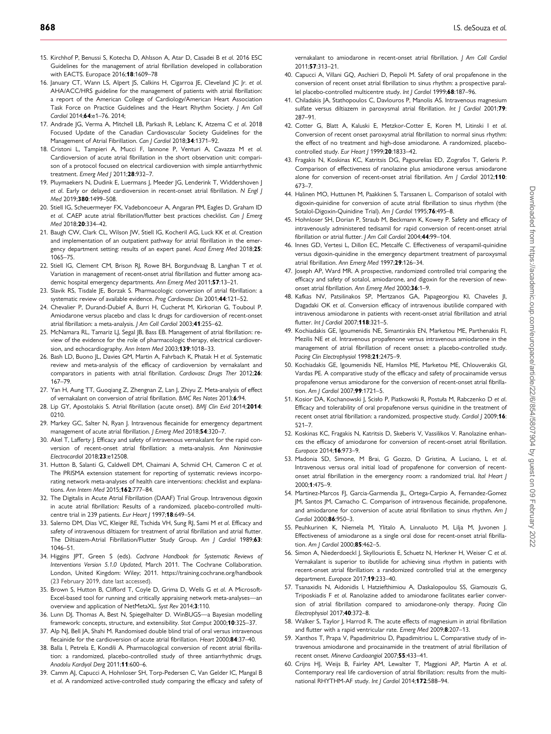- <span id="page-14-0"></span>[15](#page-1-0). Kirchhof P, Benussi S, Kotecha D, Ahlsson A, Atar D, Casadei B et al. 2016 ESC Guidelines for the management of atrial fibrillation developed in collaboration with FACTS. Europace 2016;**18**:1609-78
- [16](#page-1-0). January CT, Wann LS, Alpert JS, Calkins H, Cigarroa JE, Cleveland JC Jr. et al. AHA/ACC/HRS guideline for the management of patients with atrial fibrillation: a report of the American College of Cardiology/American Heart Association Task Force on Practice Guidelines and the Heart Rhythm Society. J Am Coll Cardiol 2014;64:e1–76. 2014;
- [17](#page-1-0). Andrade JG, Verma A, Mitchell LB, Parkash R, Leblanc K, Atzema C et al. 2018 Focused Update of the Canadian Cardiovascular Society Guidelines for the Management of Atrial Fibrillation. Can I Cardiol 2018:34:1371-92.
- 18. Cristoni L, Tampieri A, Mucci F, Iannone P, Venturi A, Cavazza M et al. Cardioversion of acute atrial fibrillation in the short observation unit: comparison of a protocol focused on electrical cardioversion with simple antiarrhythmic treatment. Emerg Med | 2011:28:932-7.
- 19. Pluymaekers N, Dudink E, Luermans J, Meeder JG, Lenderink T, Widdershoven J et al. Early or delayed cardioversion in recent-onset atrial fibrillation. N Engl J Med 2019;380:1499–508.
- [20](#page-10-0). Stiell IG, Scheuermeyer FX, Vadeboncoeur A, Angaran PM, Eagles D, Graham ID et al. CAEP acute atrial fibrillation/flutter best practices checklist. Can | Emerg Med 2018;20:334–42.
- [21](#page-10-0). Baugh CW, Clark CL, Wilson JW, Stiell IG, Kocheril AG, Luck KK et al. Creation and implementation of an outpatient pathway for atrial fibrillation in the emergency department setting: results of an expert panel. Acad Emerg Med 2018;25: 1065–75.
- [22](#page-1-0). Stiell IG, Clement CM, Brison RJ, Rowe BH, Borgundvaag B, Langhan T et al. Variation in management of recent-onset atrial fibrillation and flutter among academic hospital emergency departments. Ann Emerg Med 2011;57:13–21.
- [23](#page-8-0). Slavik RS, Tisdale JE, Borzak S. Pharmacologic conversion of atrial fibrillation: a systematic review of available evidence. Prog Cardiovasc Dis 2001;44:121–52.
- [24](#page-10-0). Chevalier P, Durand-Dubief A, Burri H, Cucherat M, Kirkorian G, Touboul P. Amiodarone versus placebo and class Ic drugs for cardioversion of recent-onset atrial fibrillation: a meta-analysis. J Am Coll Cardiol 2003;41:255–62.
- [25](#page-1-0). McNamara RL, Tamariz LJ, Segal JB, Bass EB. Management of atrial fibrillation: review of the evidence for the role of pharmacologic therapy, electrical cardioversion, and echocardiography. Ann Intern Med 2003;139:1018–33.
- [26](#page-10-0). Bash LD, Buono JL, Davies GM, Martin A, Fahrbach K, Phatak H et al. Systematic review and meta-analysis of the efficacy of cardioversion by vernakalant and comparators in patients with atrial fibrillation. Cardiovasc Drugs Ther 2012;26: 167–79.
- 27. Yan H, Aung TT, Guoqiang Z, Zhengnan Z, Lan J, Zhiyu Z. Meta-analysis of effect of vernakalant on conversion of atrial fibrillation. BMC Res Notes 2013;6:94.
- [28](#page-1-0). Lip GY, Apostolakis S. Atrial fibrillation (acute onset). BMJ Clin Evid 2014;2014: 0210.
- [29](#page-1-0). Markey GC, Salter N, Ryan J. Intravenous flecainide for emergency department management of acute atrial fibrillation. J Emerg Med 2018;54:320-7.
- 30. Akel T, Lafferty J. Efficacy and safety of intravenous vernakalant for the rapid conversion of recent-onset atrial fibrillation: a meta-analysis. Ann Noninvasive Electrocardiol 2018;23:e12508.
- [31](#page-1-0). Hutton B, Salanti G, Caldwell DM, Chaimani A, Schmid CH, Cameron C et al. The PRISMA extension statement for reporting of systematic reviews incorporating network meta-analyses of health care interventions: checklist and explanations. Ann Intern Med 2015;162:777–84.
- [32](#page-1-0). The Digitalis in Acute Atrial Fibrillation (DAAF) Trial Group. Intravenous digoxin in acute atrial fibrillation: Results of a randomized, placebo-controlled multicentre trial in 239 patients. Eur Heart | 1997;18:649-54.
- [33](#page-1-0). Salerno DM, Dias VC, Kleiger RE, Tschida VH, Sung RJ, Sami M et al. Efficacy and safety of intravenous diltiazem for treatment of atrial fibrillation and atrial flutter. The Diltiazem-Atrial Fibrillation/Flutter Study Group. Am J Cardiol 1989;63: 1046–51.
- [34](#page-2-0). Higgins JPT, Green S (eds). Cochrane Handbook for Systematic Reviews of Interventions Version 5.1.0 Updated, March 2011. The Cochrane Collaboration. London, United Kingdom: Wiley; 2011.<https://training.cochrane.org/handbook> (23 February 2019, date last accessed).
- [35](#page-7-0). Brown S, Hutton B, Clifford T, Coyle D, Grima D, Wells G et al. A Microsoft-Excel-based tool for running and critically appraising network meta-analyses—an overview and application of NetMetaXL. Syst Rev 2014;3:110.
- [36](#page-7-0). Lunn DJ, Thomas A, Best N, Spiegelhalter D. WinBUGS—a Bayesian modelling framework: concepts, structure, and extensibility. Stat Comput 2000;10:325–37.
- [37](#page-3-0). Alp NJ, Bell JA, Shahi M. Randomised double blind trial of oral versus intravenous flecainide for the cardioversion of acute atrial fibrillation. Heart 2000;84:37–40.
- [38](#page-3-0). Balla I, Petrela E, Kondili A. Pharmacological conversion of recent atrial fibrillation: a randomized, placebo-controlled study of three antiarrhythmic drugs. Anadolu Kardiyol Derg 2011;11:600-6.
- [39](#page-7-0). Camm AJ, Capucci A, Hohnloser SH, Torp-Pedersen C, Van Gelder IC, Mangal B et al. A randomized active-controlled study comparing the efficacy and safety of

vernakalant to amiodarone in recent-onset atrial fibrillation. J Am Coll Cardiol 2011;57:313–21.

- [40.](#page-3-0) Capucci A, Villani GQ, Aschieri D, Piepoli M. Safety of oral propafenone in the conversion of recent onset atrial fibrillation to sinus rhythm: a prospective parallel placebo-controlled multicentre study. Int J Cardiol 1999;68:187-96.
- [41.](#page-3-0) Chiladakis JA, Stathopoulos C, Davlouros P, Manolis AS. Intravenous magnesium sulfate versus diltiazem in paroxysmal atrial fibrillation. Int J Cardiol 2001;79: 287–91.
- [42.](#page-3-0) Cotter G, Blatt A, Kaluski E, Metzkor-Cotter E, Koren M, Litinski I et al. Conversion of recent onset paroxysmal atrial fibrillation to normal sinus rhythm: the effect of no treatment and high-dose amiodarone. A randomized, placebocontrolled study. Eur Heart J 1999;20:1833-42.
- [43.](#page-4-0) Fragakis N, Koskinas KC, Katritsis DG, Pagourelias ED, Zografos T, Geleris P. Comparison of effectiveness of ranolazine plus amiodarone versus amiodarone alone for conversion of recent-onset atrial fibrillation. Am | Cardiol 2012;110: 673–7.
- [44.](#page-4-0) Halinen MO, Huttunen M, Paakkinen S, Tarssanen L. Comparison of sotalol with digoxin-quinidine for conversion of acute atrial fibrillation to sinus rhythm (the Sotalol-Digoxin-Quinidine Trial). Am I Cardiol 1995:76:495-8.
- [45.](#page-4-0) Hohnloser SH, Dorian P, Straub M, Beckmann K, Kowey P. Safety and efficacy of intravenously administered tedisamil for rapid conversion of recent-onset atrial fibrillation or atrial flutter. J Am Coll Cardiol 2004;44:99–104.
- [46.](#page-4-0) Innes GD, Vertesi L, Dillon EC, Metcalfe C. Effectiveness of verapamil-quinidine versus digoxin-quinidine in the emergency department treatment of paroxysmal atrial fibrillation. Ann Emerg Med 1997;29:126–34.
- [47.](#page-4-0) Joseph AP, Ward MR. A prospective, randomized controlled trial comparing the efficacy and safety of sotalol, amiodarone, and digoxin for the reversion of newonset atrial fibrillation. Ann Emerg Med 2000;36:1-9.
- [48.](#page-5-0) Kafkas NV, Patsilinakos SP, Mertzanos GA, Papageorgiou KI, Chaveles JI, Dagadaki OK et al. Conversion efficacy of intravenous ibutilide compared with intravenous amiodarone in patients with recent-onset atrial fibrillation and atrial flutter. Int J Cardiol 2007;118:321-5.
- [49.](#page-5-0) Kochiadakis GE, Igoumenidis NE, Simantirakis EN, Marketou ME, Parthenakis FI, Mezilis NE et al. Intravenous propafenone versus intravenous amiodarone in the management of atrial fibrillation of recent onset: a placebo-controlled study. Pacing Clin Electrophysiol 1998;21:2475-9.
- [50.](#page-5-0) Kochiadakis GE, Igoumenidis NE, Hamilos ME, Marketou ME, Chlouverakis GI, Vardas PE. A comparative study of the efficacy and safety of procainamide versus propafenone versus amiodarone for the conversion of recent-onset atrial fibrillation. Am J Cardiol 2007;99:1721-5.
- [51.](#page-5-0) Kosior DA, Kochanowski J, Scisło P, Piatkowski R, Postuła M, Rabczenko D et al. Efficacy and tolerability of oral propafenone versus quinidine in the treatment of recent onset atrial fibrillation: a randomized, prospective study. Cardiol J 2009;16: 521–7.
- [52.](#page-5-0) Koskinas KC, Fragakis N, Katritsis D, Skeberis V, Vassilikos V. Ranolazine enhances the efficacy of amiodarone for conversion of recent-onset atrial fibrillation. Europace 2014;16:973–9.
- [53.](#page-6-0) Madonia SD, Simone, M Brai, G Gozzo, D Gristina, A Luciano, L et al. Intravenous versus oral initial load of propafenone for conversion of recentonset atrial fibrillation in the emergency room: a randomized trial. Ital Heart J 2000;1:475–9.
- [54.](#page-6-0) Martinez-Marcos FJ, Garcia-Garmendia JL, Ortega-Carpio A, Fernandez-Gomez JM, Santos JM, Camacho C. Comparison of intravenous flecainide, propafenone, and amiodarone for conversion of acute atrial fibrillation to sinus rhythm. Am J Cardiol 2000;86:950–3.
- [55.](#page-6-0) Peuhkurinen K, Niemela M, Ylitalo A, Linnaluoto M, Lilja M, Juvonen J. Effectiveness of amiodarone as a single oral dose for recent-onset atrial fibrillation. Am J Cardiol 2000;85:462-5.
- [56.](#page-6-0) Simon A, Niederdoeckl J, Skyllouriotis E, Schuetz N, Herkner H, Weiser C et al. Vernakalant is superior to ibutilide for achieving sinus rhythm in patients with recent-onset atrial fibrillation: a randomized controlled trial at the emergency department. Europace 2017;19:233–40.
- [57.](#page-6-0) Tsanaxidis N, Aidonidis I, Hatziefthimiou A, Daskalopoulou SS, Giamouzis G, Triposkiadis F et al. Ranolazine added to amiodarone facilitates earlier conversion of atrial fibrillation compared to amiodarone-only therapy. Pacing Clin Electrophysiol 2017;40:372–8.
- [58.](#page-7-0) Walker S, Taylor J, Harrod R. The acute effects of magnesium in atrial fibrillation and flutter with a rapid ventricular rate. Emerg Med 2009;8:207–13.
- [59.](#page-7-0) Xanthos T, Prapa V, Papadimitriou D, Papadimitriou L. Comparative study of intravenous amiodarone and procainamide in the treatment of atrial fibrillation of recent onset. Minerva Cardioangiol 2007;55:433–41.
- [60.](#page-8-0) Crijns HJ, Weijs B, Fairley AM, Lewalter T, Maggioni AP, Martin A et al. Contemporary real life cardioversion of atrial fibrillation: results from the multinational RHYTHM-AF study. Int J Cardiol 2014;172:588-94.